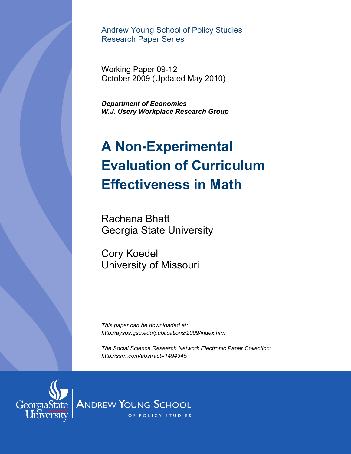Andrew Young School of Policy Studies Research Paper Series

Working Paper 09-12 October 2009 (Updated May 2010)

*Department of Economics W.J. Usery Workplace Research Group* 

# **A Non-Experimental Evaluation of Curriculum Effectiveness in Math**

Rachana Bhatt Georgia State University

Cory Koedel University of Missouri

*This paper can be downloaded at: http://aysps.gsu.edu/publications/2009/index.htm* 

*The Social Science Research Network Electronic Paper Collection: http://ssrn.com/abstract=1494345*

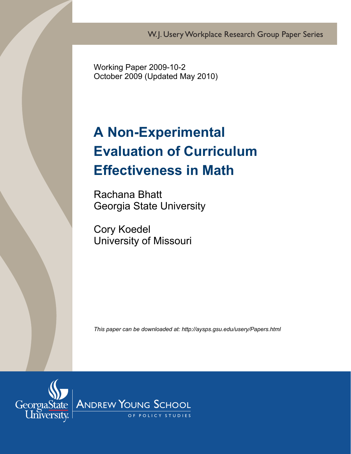W.J. Usery Workplace Research Group Paper Series

Working Paper 2009-10-2 October 2009 (Updated May 2010)

# **A Non-Experimental Evaluation of Curriculum Effectiveness in Math**

Rachana Bhatt Georgia State University

Cory Koedel University of Missouri

*This paper can be downloaded at: http://aysps.gsu.edu/usery/Papers.html* 

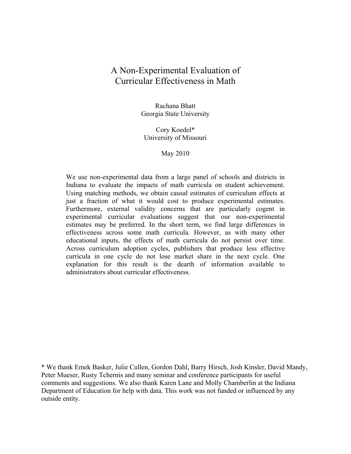## A Non-Experimental Evaluation of Curricular Effectiveness in Math

Rachana Bhatt Georgia State University

Cory Koedel\* University of Missouri

#### May 2010

We use non-experimental data from a large panel of schools and districts in Indiana to evaluate the impacts of math curricula on student achievement. Using matching methods, we obtain causal estimates of curriculum effects at just a fraction of what it would cost to produce experimental estimates. Furthermore, external validity concerns that are particularly cogent in experimental curricular evaluations suggest that our non-experimental estimates may be preferred. In the short term, we find large differences in effectiveness across some math curricula. However, as with many other educational inputs, the effects of math curricula do not persist over time. Across curriculum adoption cycles, publishers that produce less effective curricula in one cycle do not lose market share in the next cycle. One explanation for this result is the dearth of information available to administrators about curricular effectiveness.

\* We thank Emek Basker, Julie Cullen, Gordon Dahl, Barry Hirsch, Josh Kinsler, David Mandy, Peter Mueser, Rusty Tchernis and many seminar and conference participants for useful comments and suggestions. We also thank Karen Lane and Molly Chamberlin at the Indiana Department of Education for help with data. This work was not funded or influenced by any outside entity.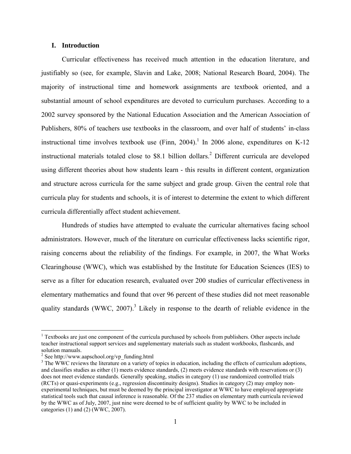#### **I. Introduction**

Curricular effectiveness has received much attention in the education literature, and justifiably so (see, for example, Slavin and Lake, 2008; National Research Board, 2004). The majority of instructional time and homework assignments are textbook oriented, and a substantial amount of school expenditures are devoted to curriculum purchases. According to a 2002 survey sponsored by the National Education Association and the American Association of Publishers, 80% of teachers use textbooks in the classroom, and over half of students' in-class instructional time involves textbook use (Finn, 2004).<sup>1</sup> In 2006 alone, expenditures on K-12 instructional materials totaled close to \$8.1 billion dollars.<sup>2</sup> Different curricula are developed using different theories about how students learn - this results in different content, organization and structure across curricula for the same subject and grade group. Given the central role that curricula play for students and schools, it is of interest to determine the extent to which different curricula differentially affect student achievement.

Hundreds of studies have attempted to evaluate the curricular alternatives facing school administrators. However, much of the literature on curricular effectiveness lacks scientific rigor, raising concerns about the reliability of the findings. For example, in 2007, the What Works Clearinghouse (WWC), which was established by the Institute for Education Sciences (IES) to serve as a filter for education research, evaluated over 200 studies of curricular effectiveness in elementary mathematics and found that over 96 percent of these studies did not meet reasonable quality standards (WWC, 2007).<sup>3</sup> Likely in response to the dearth of reliable evidence in the

 $\overline{a}$ 

<sup>&</sup>lt;sup>1</sup> Textbooks are just one component of the curricula purchased by schools from publishers. Other aspects include teacher instructional support services and supplementary materials such as student workbooks, flashcards, and solution manuals.

<sup>2</sup> See http://www.aapschool.org/vp\_funding.html

<sup>&</sup>lt;sup>3</sup> The WWC reviews the literature on a variety of topics in education, including the effects of curriculum adoptions, and classifies studies as either (1) meets evidence standards, (2) meets evidence standards with reservations or (3) does not meet evidence standards. Generally speaking, studies in category (1) use randomized controlled trials (RCTs) or quasi-experiments (e.g., regression discontinuity designs). Studies in category (2) may employ nonexperimental techniques, but must be deemed by the principal investigator at WWC to have employed appropriate statistical tools such that causal inference is reasonable. Of the 237 studies on elementary math curricula reviewed by the WWC as of July, 2007, just nine were deemed to be of sufficient quality by WWC to be included in categories (1) and (2) (WWC, 2007).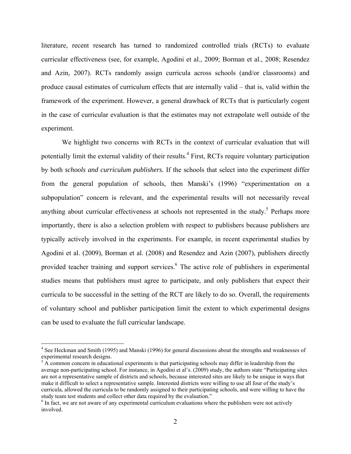literature, recent research has turned to randomized controlled trials (RCTs) to evaluate curricular effectiveness (see, for example, Agodini et al., 2009; Borman et al., 2008; Resendez and Azin, 2007). RCTs randomly assign curricula across schools (and/or classrooms) and produce causal estimates of curriculum effects that are internally valid – that is, valid within the framework of the experiment. However, a general drawback of RCTs that is particularly cogent in the case of curricular evaluation is that the estimates may not extrapolate well outside of the experiment.

We highlight two concerns with RCTs in the context of curricular evaluation that will potentially limit the external validity of their results.<sup>4</sup> First, RCTs require voluntary participation by both *schools and curriculum publishers.* If the schools that select into the experiment differ from the general population of schools, then Manski's (1996) "experimentation on a subpopulation" concern is relevant, and the experimental results will not necessarily reveal anything about curricular effectiveness at schools not represented in the study.<sup>5</sup> Perhaps more importantly, there is also a selection problem with respect to publishers because publishers are typically actively involved in the experiments. For example, in recent experimental studies by Agodini et al. (2009), Borman et al. (2008) and Resendez and Azin (2007), publishers directly provided teacher training and support services.<sup>6</sup> The active role of publishers in experimental studies means that publishers must agree to participate, and only publishers that expect their curricula to be successful in the setting of the RCT are likely to do so. Overall, the requirements of voluntary school and publisher participation limit the extent to which experimental designs can be used to evaluate the full curricular landscape.

1

<sup>&</sup>lt;sup>4</sup> See Heckman and Smith (1995) and Manski (1996) for general discussions about the strengths and weaknesses of experimental research designs.

 $5 \text{ Å}$  common concern in educational experiments is that participating schools may differ in leadership from the average non-participating school. For instance, in Agodini et al's. (2009) study, the authors state "Participating sites are not a representative sample of districts and schools, because interested sites are likely to be unique in ways that make it difficult to select a representative sample. Interested districts were willing to use all four of the study's curricula, allowed the curricula to be randomly assigned to their participating schools, and were willing to have the study team test students and collect other data required by the evaluation."

<sup>&</sup>lt;sup>6</sup> In fact, we are not aware of any experimental curriculum evaluations where the publishers were not actively involved.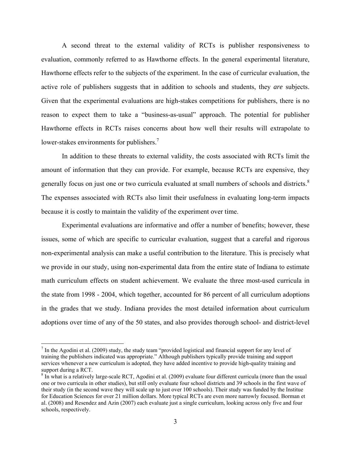A second threat to the external validity of RCTs is publisher responsiveness to evaluation, commonly referred to as Hawthorne effects. In the general experimental literature, Hawthorne effects refer to the subjects of the experiment. In the case of curricular evaluation, the active role of publishers suggests that in addition to schools and students, they *are* subjects. Given that the experimental evaluations are high-stakes competitions for publishers, there is no reason to expect them to take a "business-as-usual" approach. The potential for publisher Hawthorne effects in RCTs raises concerns about how well their results will extrapolate to lower-stakes environments for publishers.<sup>7</sup>

In addition to these threats to external validity, the costs associated with RCTs limit the amount of information that they can provide. For example, because RCTs are expensive, they generally focus on just one or two curricula evaluated at small numbers of schools and districts.<sup>8</sup> The expenses associated with RCTs also limit their usefulness in evaluating long-term impacts because it is costly to maintain the validity of the experiment over time.

Experimental evaluations are informative and offer a number of benefits; however, these issues, some of which are specific to curricular evaluation, suggest that a careful and rigorous non-experimental analysis can make a useful contribution to the literature. This is precisely what we provide in our study, using non-experimental data from the entire state of Indiana to estimate math curriculum effects on student achievement. We evaluate the three most-used curricula in the state from 1998 - 2004, which together, accounted for 86 percent of all curriculum adoptions in the grades that we study. Indiana provides the most detailed information about curriculum adoptions over time of any of the 50 states, and also provides thorough school- and district-level

1

<sup>&</sup>lt;sup>7</sup> In the Agodini et al. (2009) study, the study team "provided logistical and financial support for any level of training the publishers indicated was appropriate." Although publishers typically provide training and support services whenever a new curriculum is adopted, they have added incentive to provide high-quality training and support during a RCT.

<sup>&</sup>lt;sup>8</sup> In what is a relatively large-scale RCT, Agodini et al. (2009) evaluate four different curricula (more than the usual one or two curricula in other studies), but still only evaluate four school districts and 39 schools in the first wave of their study (in the second wave they will scale up to just over 100 schools). Their study was funded by the Institue for Education Sciences for over 21 million dollars. More typical RCTs are even more narrowly focused. Borman et al. (2008) and Resendez and Azin (2007) each evaluate just a single curriculum, looking across only five and four schools, respectively.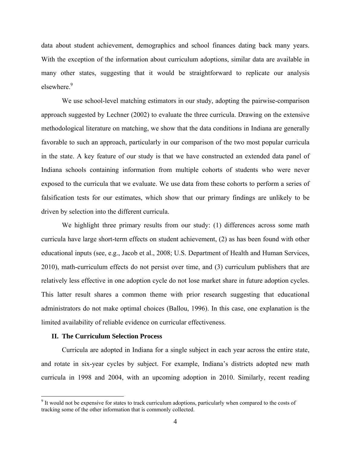data about student achievement, demographics and school finances dating back many years. With the exception of the information about curriculum adoptions, similar data are available in many other states, suggesting that it would be straightforward to replicate our analysis elsewhere $\frac{9}{2}$ 

We use school-level matching estimators in our study, adopting the pairwise-comparison approach suggested by Lechner (2002) to evaluate the three curricula. Drawing on the extensive methodological literature on matching, we show that the data conditions in Indiana are generally favorable to such an approach, particularly in our comparison of the two most popular curricula in the state. A key feature of our study is that we have constructed an extended data panel of Indiana schools containing information from multiple cohorts of students who were never exposed to the curricula that we evaluate. We use data from these cohorts to perform a series of falsification tests for our estimates, which show that our primary findings are unlikely to be driven by selection into the different curricula.

We highlight three primary results from our study: (1) differences across some math curricula have large short-term effects on student achievement, (2) as has been found with other educational inputs (see, e.g., Jacob et al., 2008; U.S. Department of Health and Human Services, 2010), math-curriculum effects do not persist over time, and (3) curriculum publishers that are relatively less effective in one adoption cycle do not lose market share in future adoption cycles. This latter result shares a common theme with prior research suggesting that educational administrators do not make optimal choices (Ballou, 1996). In this case, one explanation is the limited availability of reliable evidence on curricular effectiveness.

#### **II. The Curriculum Selection Process**

 $\overline{a}$ 

Curricula are adopted in Indiana for a single subject in each year across the entire state, and rotate in six-year cycles by subject. For example, Indiana's districts adopted new math curricula in 1998 and 2004, with an upcoming adoption in 2010. Similarly, recent reading

<sup>&</sup>lt;sup>9</sup> It would not be expensive for states to track curriculum adoptions, particularly when compared to the costs of tracking some of the other information that is commonly collected.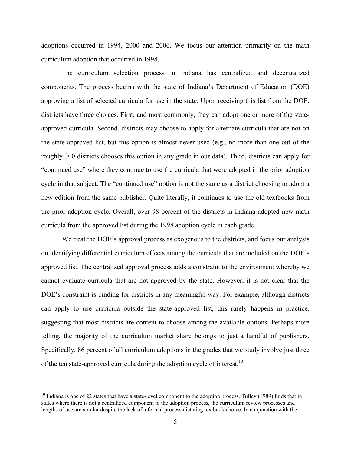adoptions occurred in 1994, 2000 and 2006. We focus our attention primarily on the math curriculum adoption that occurred in 1998.

The curriculum selection process in Indiana has centralized and decentralized components. The process begins with the state of Indiana's Department of Education (DOE) approving a list of selected curricula for use in the state. Upon receiving this list from the DOE, districts have three choices. First, and most commonly, they can adopt one or more of the stateapproved curricula. Second, districts may choose to apply for alternate curricula that are not on the state-approved list, but this option is almost never used (e.g., no more than one out of the roughly 300 districts chooses this option in any grade in our data). Third, districts can apply for "continued use" where they continue to use the curricula that were adopted in the prior adoption cycle in that subject. The "continued use" option is not the same as a district choosing to adopt a new edition from the same publisher. Quite literally, it continues to use the old textbooks from the prior adoption cycle. Overall, over 98 percent of the districts in Indiana adopted new math curricula from the approved list during the 1998 adoption cycle in each grade.

We treat the DOE's approval process as exogenous to the districts, and focus our analysis on identifying differential curriculum effects among the curricula that are included on the DOE's approved list. The centralized approval process adds a constraint to the environment whereby we cannot evaluate curricula that are not approved by the state. However, it is not clear that the DOE's constraint is binding for districts in any meaningful way. For example, although districts can apply to use curricula outside the state-approved list, this rarely happens in practice, suggesting that most districts are content to choose among the available options. Perhaps more telling, the majority of the curriculum market share belongs to just a handful of publishers. Specifically, 86 percent of all curriculum adoptions in the grades that we study involve just three of the ten state-approved curricula during the adoption cycle of interest.<sup>10</sup>

 $\overline{a}$ 

 $10$  Indiana is one of 22 states that have a state-level component to the adoption process. Tulley (1989) finds that in states where there is not a centralized component to the adoption process, the curriculum review processes and lengths of use are similar despite the lack of a formal process dictating textbook choice. In conjunction with the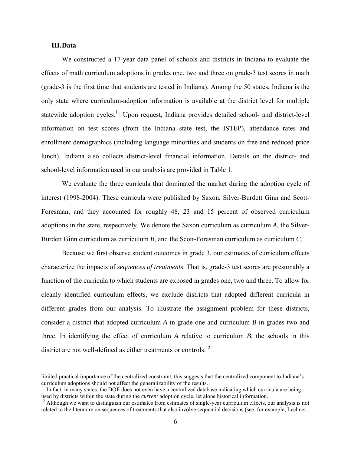#### **III.Data**

We constructed a 17-year data panel of schools and districts in Indiana to evaluate the effects of math curriculum adoptions in grades one, two and three on grade-3 test scores in math (grade-3 is the first time that students are tested in Indiana). Among the 50 states, Indiana is the only state where curriculum-adoption information is available at the district level for multiple statewide adoption cycles.<sup>11</sup> Upon request, Indiana provides detailed school- and district-level information on test scores (from the Indiana state test, the ISTEP), attendance rates and enrollment demographics (including language minorities and students on free and reduced price lunch). Indiana also collects district-level financial information. Details on the district- and school-level information used in our analysis are provided in Table 1.

We evaluate the three curricula that dominated the market during the adoption cycle of interest (1998-2004). These curricula were published by Saxon, Silver-Burdett Ginn and Scott-Foresman, and they accounted for roughly 48, 23 and 15 percent of observed curriculum adoptions in the state, respectively. We denote the Saxon curriculum as curriculum *A*, the Silver-Burdett Ginn curriculum as curriculum *B*, and the Scott-Foresman curriculum as curriculum *C*.

Because we first observe student outcomes in grade 3, our estimates of curriculum effects characterize the impacts of *sequences of treatments*. That is, grade-3 test scores are presumably a function of the curricula to which students are exposed in grades one, two and three. To allow for cleanly identified curriculum effects, we exclude districts that adopted different curricula in different grades from our analysis. To illustrate the assignment problem for these districts, consider a district that adopted curriculum *A* in grade one and curriculum *B* in grades two and three. In identifying the effect of curriculum *A* relative to curriculum *B*, the schools in this district are not well-defined as either treatments or controls.<sup>12</sup>

limited practical importance of the centralized constraint, this suggests that the centralized component to Indiana's

curriculum adoptions should not affect the generalizability of the results.<br><sup>11</sup> In fact, in many states, the DOE does not even have a centralized database indicating which curricula are being used by districts within the

<sup>&</sup>lt;sup>12</sup> Although we want to distinguish our estimates from estimates of single-year curriculum effects, our analysis is not related to the literature on sequences of treatments that also involve sequential decisions (see, for example, Lechner,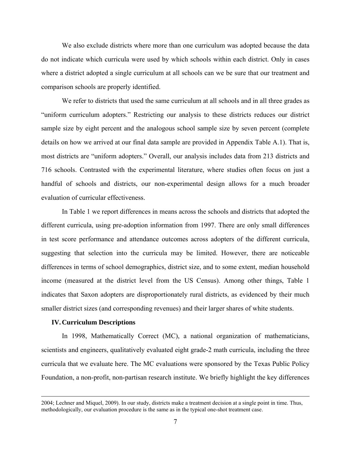We also exclude districts where more than one curriculum was adopted because the data do not indicate which curricula were used by which schools within each district. Only in cases where a district adopted a single curriculum at all schools can we be sure that our treatment and comparison schools are properly identified.

We refer to districts that used the same curriculum at all schools and in all three grades as "uniform curriculum adopters." Restricting our analysis to these districts reduces our district sample size by eight percent and the analogous school sample size by seven percent (complete details on how we arrived at our final data sample are provided in Appendix Table A.1). That is, most districts are "uniform adopters." Overall, our analysis includes data from 213 districts and 716 schools. Contrasted with the experimental literature, where studies often focus on just a handful of schools and districts, our non-experimental design allows for a much broader evaluation of curricular effectiveness.

In Table 1 we report differences in means across the schools and districts that adopted the different curricula, using pre-adoption information from 1997. There are only small differences in test score performance and attendance outcomes across adopters of the different curricula, suggesting that selection into the curricula may be limited. However, there are noticeable differences in terms of school demographics, district size, and to some extent, median household income (measured at the district level from the US Census). Among other things, Table 1 indicates that Saxon adopters are disproportionately rural districts, as evidenced by their much smaller district sizes (and corresponding revenues) and their larger shares of white students.

#### **IV.Curriculum Descriptions**

In 1998, Mathematically Correct (MC), a national organization of mathematicians, scientists and engineers, qualitatively evaluated eight grade-2 math curricula, including the three curricula that we evaluate here. The MC evaluations were sponsored by the Texas Public Policy Foundation, a non-profit, non-partisan research institute. We briefly highlight the key differences

 <sup>2004;</sup> Lechner and Miquel, 2009). In our study, districts make a treatment decision at a single point in time. Thus, methodologically, our evaluation procedure is the same as in the typical one-shot treatment case.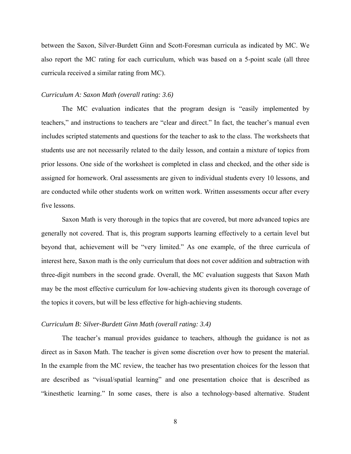between the Saxon, Silver-Burdett Ginn and Scott-Foresman curricula as indicated by MC. We also report the MC rating for each curriculum, which was based on a 5-point scale (all three curricula received a similar rating from MC).

#### *Curriculum A: Saxon Math (overall rating: 3.6)*

The MC evaluation indicates that the program design is "easily implemented by teachers," and instructions to teachers are "clear and direct." In fact, the teacher's manual even includes scripted statements and questions for the teacher to ask to the class. The worksheets that students use are not necessarily related to the daily lesson, and contain a mixture of topics from prior lessons. One side of the worksheet is completed in class and checked, and the other side is assigned for homework. Oral assessments are given to individual students every 10 lessons, and are conducted while other students work on written work. Written assessments occur after every five lessons.

Saxon Math is very thorough in the topics that are covered, but more advanced topics are generally not covered. That is, this program supports learning effectively to a certain level but beyond that, achievement will be "very limited." As one example, of the three curricula of interest here, Saxon math is the only curriculum that does not cover addition and subtraction with three-digit numbers in the second grade. Overall, the MC evaluation suggests that Saxon Math may be the most effective curriculum for low-achieving students given its thorough coverage of the topics it covers, but will be less effective for high-achieving students.

#### *Curriculum B: Silver-Burdett Ginn Math (overall rating: 3.4)*

The teacher's manual provides guidance to teachers, although the guidance is not as direct as in Saxon Math. The teacher is given some discretion over how to present the material. In the example from the MC review, the teacher has two presentation choices for the lesson that are described as "visual/spatial learning" and one presentation choice that is described as "kinesthetic learning." In some cases, there is also a technology-based alternative. Student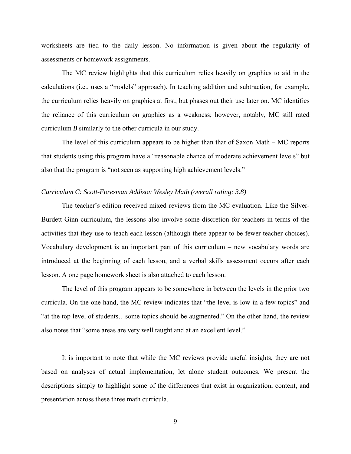worksheets are tied to the daily lesson. No information is given about the regularity of assessments or homework assignments.

The MC review highlights that this curriculum relies heavily on graphics to aid in the calculations (i.e., uses a "models" approach). In teaching addition and subtraction, for example, the curriculum relies heavily on graphics at first, but phases out their use later on. MC identifies the reliance of this curriculum on graphics as a weakness; however, notably, MC still rated curriculum *B* similarly to the other curricula in our study.

The level of this curriculum appears to be higher than that of Saxon Math – MC reports that students using this program have a "reasonable chance of moderate achievement levels" but also that the program is "not seen as supporting high achievement levels."

#### *Curriculum C: Scott-Foresman Addison Wesley Math (overall rating: 3.8)*

The teacher's edition received mixed reviews from the MC evaluation. Like the Silver-Burdett Ginn curriculum, the lessons also involve some discretion for teachers in terms of the activities that they use to teach each lesson (although there appear to be fewer teacher choices). Vocabulary development is an important part of this curriculum – new vocabulary words are introduced at the beginning of each lesson, and a verbal skills assessment occurs after each lesson. A one page homework sheet is also attached to each lesson.

The level of this program appears to be somewhere in between the levels in the prior two curricula. On the one hand, the MC review indicates that "the level is low in a few topics" and "at the top level of students…some topics should be augmented." On the other hand, the review also notes that "some areas are very well taught and at an excellent level."

It is important to note that while the MC reviews provide useful insights, they are not based on analyses of actual implementation, let alone student outcomes. We present the descriptions simply to highlight some of the differences that exist in organization, content, and presentation across these three math curricula.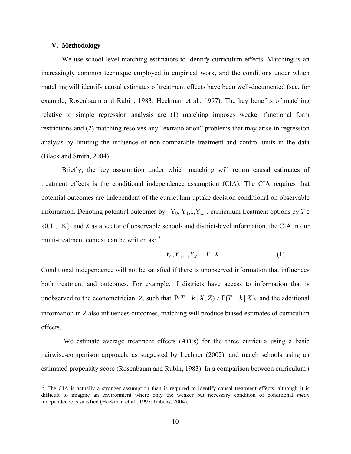#### **V. Methodology**

<u>.</u>

We use school-level matching estimators to identify curriculum effects. Matching is an increasingly common technique employed in empirical work, and the conditions under which matching will identify causal estimates of treatment effects have been well-documented (see, for example, Rosenbaum and Rubin, 1983; Heckman et al., 1997). The key benefits of matching relative to simple regression analysis are (1) matching imposes weaker functional form restrictions and (2) matching resolves any "extrapolation" problems that may arise in regression analysis by limiting the influence of non-comparable treatment and control units in the data (Black and Smith, 2004).

Briefly, the key assumption under which matching will return causal estimates of treatment effects is the conditional independence assumption (CIA). The CIA requires that potential outcomes are independent of the curriculum uptake decision conditional on observable information. Denoting potential outcomes by  ${Y_0, Y_1, ..., Y_K}$ , curriculum treatment options by  $T \in$ {0,1….K}, and *X* as a vector of observable school- and district-level information, the CIA in our multi-treatment context can be written as:<sup>13</sup>

$$
Y_0, Y_1, \ldots, Y_K \perp T \mid X \tag{1}
$$

Conditional independence will not be satisfied if there is unobserved information that influences both treatment and outcomes. For example, if districts have access to information that is unobserved to the econometrician, *Z*, such that  $P(T = k | X, Z) \neq P(T = k | X)$ , and the additional information in *Z* also influences outcomes, matching will produce biased estimates of curriculum effects.

 We estimate average treatment effects (*ATE*s) for the three curricula using a basic pairwise-comparison approach, as suggested by Lechner (2002), and match schools using an estimated propensity score (Rosenbaum and Rubin, 1983). In a comparison between curriculum *j*

 $13$  The CIA is actually a stronger assumption than is required to identify causal treatment effects, although it is difficult to imagine an environment where only the weaker but necessary condition of conditional *mean* independence is satisfied (Heckman et al., 1997; Imbens, 2004).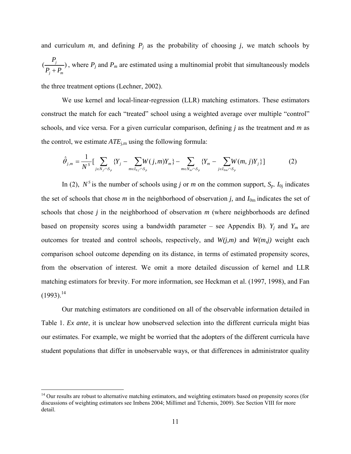and curriculum  $m$ , and defining  $P_j$  as the probability of choosing  $j$ , we match schools by  $\left(\frac{I_j}{I_{\overline{I}}}-\right)$ *j m P*  $P_i + P_i$ , where  $P_j$  and  $P_m$  are estimated using a multinomial probit that simultaneously models

the three treatment options (Lechner, 2002).

1

 We use kernel and local-linear-regression (LLR) matching estimators. These estimators construct the match for each "treated" school using a weighted average over multiple "control" schools, and vice versa. For a given curricular comparison, defining *j* as the treatment and *m* as the control, we estimate  $ATE_{i,m}$  using the following formula:

$$
\hat{\theta}_{j,m} = \frac{1}{N^s} \Big[ \sum_{j \in N_j \cap S_p} \{ Y_j - \sum_{m \in I_{0j} \cap S_p} W(j,m) Y_m \} - \sum_{m \in N_m \cap S_p} \{ Y_m - \sum_{j \in I_{0m} \cap S_p} W(m,j) Y_j \} \Big] \tag{2}
$$

In (2),  $N^s$  is the number of schools using *j* or *m* on the common support,  $S_p$ .  $I_{0j}$  indicates the set of schools that chose  $m$  in the neighborhood of observation  $j$ , and  $I_{0m}$  indicates the set of schools that chose *j* in the neighborhood of observation *m* (where neighborhoods are defined based on propensity scores using a bandwidth parameter – see Appendix B).  $Y_j$  and  $Y_m$  are outcomes for treated and control schools, respectively, and *W(j,m)* and *W(m,j)* weight each comparison school outcome depending on its distance, in terms of estimated propensity scores, from the observation of interest. We omit a more detailed discussion of kernel and LLR matching estimators for brevity. For more information, see Heckman et al. (1997, 1998), and Fan  $(1993).^{14}$ 

 Our matching estimators are conditioned on all of the observable information detailed in Table 1. *Ex ante*, it is unclear how unobserved selection into the different curricula might bias our estimates. For example, we might be worried that the adopters of the different curricula have student populations that differ in unobservable ways, or that differences in administrator quality

<sup>&</sup>lt;sup>14</sup> Our results are robust to alternative matching estimators, and weighting estimators based on propensity scores (for discussions of weighting estimators see Imbens 2004; Millimet and Tchernis, 2009). See Section VIII for more detail.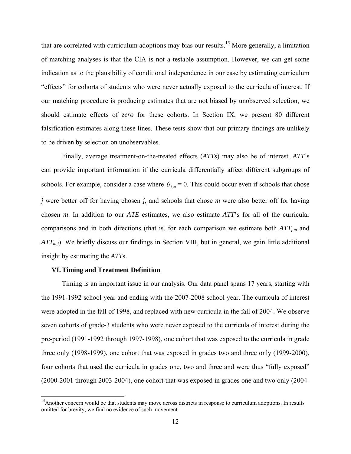that are correlated with curriculum adoptions may bias our results.15 More generally, a limitation of matching analyses is that the CIA is not a testable assumption. However, we can get some indication as to the plausibility of conditional independence in our case by estimating curriculum "effects" for cohorts of students who were never actually exposed to the curricula of interest. If our matching procedure is producing estimates that are not biased by unobserved selection, we should estimate effects of *zero* for these cohorts. In Section IX, we present 80 different falsification estimates along these lines. These tests show that our primary findings are unlikely to be driven by selection on unobservables.

Finally, average treatment-on-the-treated effects (*ATTs*) may also be of interest. *ATT*'s can provide important information if the curricula differentially affect different subgroups of schools. For example, consider a case where  $\theta_{j,m} = 0$ . This could occur even if schools that chose *j* were better off for having chosen *j*, and schools that chose *m* were also better off for having chosen *m*. In addition to our *ATE* estimates, we also estimate *ATT*'s for all of the curricular comparisons and in both directions (that is, for each comparison we estimate both  $ATT_{im}$  and *ATT<sub>m,j</sub>*). We briefly discuss our findings in Section VIII, but in general, we gain little additional insight by estimating the *ATT*s.

#### **VI.Timing and Treatment Definition**

1

Timing is an important issue in our analysis. Our data panel spans 17 years, starting with the 1991-1992 school year and ending with the 2007-2008 school year. The curricula of interest were adopted in the fall of 1998, and replaced with new curricula in the fall of 2004. We observe seven cohorts of grade-3 students who were never exposed to the curricula of interest during the pre-period (1991-1992 through 1997-1998), one cohort that was exposed to the curricula in grade three only (1998-1999), one cohort that was exposed in grades two and three only (1999-2000), four cohorts that used the curricula in grades one, two and three and were thus "fully exposed" (2000-2001 through 2003-2004), one cohort that was exposed in grades one and two only (2004-

<sup>&</sup>lt;sup>15</sup>Another concern would be that students may move across districts in response to curriculum adoptions. In results omitted for brevity, we find no evidence of such movement.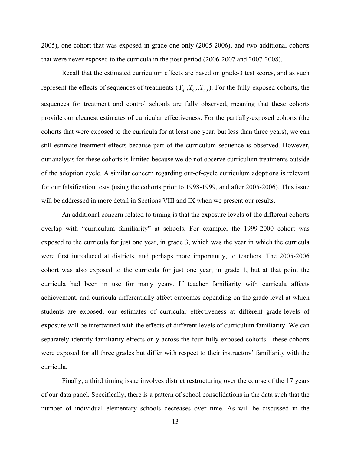2005), one cohort that was exposed in grade one only (2005-2006), and two additional cohorts that were never exposed to the curricula in the post-period (2006-2007 and 2007-2008).

Recall that the estimated curriculum effects are based on grade-3 test scores, and as such represent the effects of sequences of treatments  $(T_{g1}, T_{g2}, T_{g3})$ . For the fully-exposed cohorts, the sequences for treatment and control schools are fully observed, meaning that these cohorts provide our cleanest estimates of curricular effectiveness. For the partially-exposed cohorts (the cohorts that were exposed to the curricula for at least one year, but less than three years), we can still estimate treatment effects because part of the curriculum sequence is observed. However, our analysis for these cohorts is limited because we do not observe curriculum treatments outside of the adoption cycle. A similar concern regarding out-of-cycle curriculum adoptions is relevant for our falsification tests (using the cohorts prior to 1998-1999, and after 2005-2006). This issue will be addressed in more detail in Sections VIII and IX when we present our results.

An additional concern related to timing is that the exposure levels of the different cohorts overlap with "curriculum familiarity" at schools. For example, the 1999-2000 cohort was exposed to the curricula for just one year, in grade 3, which was the year in which the curricula were first introduced at districts, and perhaps more importantly, to teachers. The 2005-2006 cohort was also exposed to the curricula for just one year, in grade 1, but at that point the curricula had been in use for many years. If teacher familiarity with curricula affects achievement, and curricula differentially affect outcomes depending on the grade level at which students are exposed, our estimates of curricular effectiveness at different grade-levels of exposure will be intertwined with the effects of different levels of curriculum familiarity. We can separately identify familiarity effects only across the four fully exposed cohorts - these cohorts were exposed for all three grades but differ with respect to their instructors' familiarity with the curricula.

Finally, a third timing issue involves district restructuring over the course of the 17 years of our data panel. Specifically, there is a pattern of school consolidations in the data such that the number of individual elementary schools decreases over time. As will be discussed in the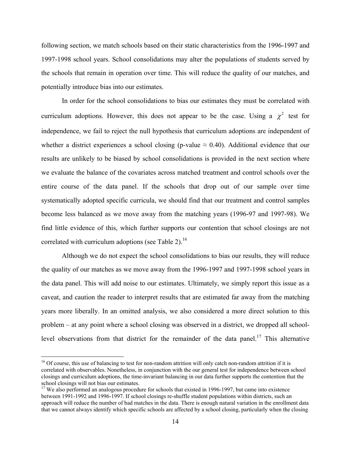following section, we match schools based on their static characteristics from the 1996-1997 and 1997-1998 school years. School consolidations may alter the populations of students served by the schools that remain in operation over time. This will reduce the quality of our matches, and potentially introduce bias into our estimates.

In order for the school consolidations to bias our estimates they must be correlated with curriculum adoptions. However, this does not appear to be the case. Using a  $\chi^2$  test for independence, we fail to reject the null hypothesis that curriculum adoptions are independent of whether a district experiences a school closing (p-value  $\approx 0.40$ ). Additional evidence that our results are unlikely to be biased by school consolidations is provided in the next section where we evaluate the balance of the covariates across matched treatment and control schools over the entire course of the data panel. If the schools that drop out of our sample over time systematically adopted specific curricula, we should find that our treatment and control samples become less balanced as we move away from the matching years (1996-97 and 1997-98). We find little evidence of this, which further supports our contention that school closings are not correlated with curriculum adoptions (see Table 2).<sup>16</sup>

Although we do not expect the school consolidations to bias our results, they will reduce the quality of our matches as we move away from the 1996-1997 and 1997-1998 school years in the data panel. This will add noise to our estimates. Ultimately, we simply report this issue as a caveat, and caution the reader to interpret results that are estimated far away from the matching years more liberally. In an omitted analysis, we also considered a more direct solution to this problem – at any point where a school closing was observed in a district, we dropped all schoollevel observations from that district for the remainder of the data panel.<sup>17</sup> This alternative

1

 $16$  Of course, this use of balancing to test for non-random attrition will only catch non-random attrition if it is correlated with observables. Nonetheless, in conjunction with the our general test for independence between school closings and curriculum adoptions, the time-invariant balancing in our data further supports the contention that the school closings will not bias our estimates.

<sup>&</sup>lt;sup>17</sup> We also performed an analogous procedure for schools that existed in 1996-1997, but came into existence between 1991-1992 and 1996-1997. If school closings re-shuffle student populations within districts, such an approach will reduce the number of bad matches in the data. There is enough natural variation in the enrollment data that we cannot always identify which specific schools are affected by a school closing, particularly when the closing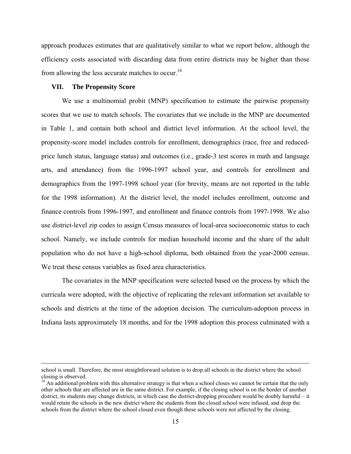approach produces estimates that are qualitatively similar to what we report below, although the efficiency costs associated with discarding data from entire districts may be higher than those from allowing the less accurate matches to occur.<sup>18</sup>

#### **VII. The Propensity Score**

We use a multinomial probit (MNP) specification to estimate the pairwise propensity scores that we use to match schools. The covariates that we include in the MNP are documented in Table 1, and contain both school and district level information. At the school level, the propensity-score model includes controls for enrollment, demographics (race, free and reducedprice lunch status, language status) and outcomes (i.e., grade-3 test scores in math and language arts, and attendance) from the 1996-1997 school year, and controls for enrollment and demographics from the 1997-1998 school year (for brevity, means are not reported in the table for the 1998 information). At the district level, the model includes enrollment, outcome and finance controls from 1996-1997, and enrollment and finance controls from 1997-1998. We also use district-level zip codes to assign Census measures of local-area socioeconomic status to each school. Namely, we include controls for median household income and the share of the adult population who do not have a high-school diploma, both obtained from the year-2000 census. We treat these census variables as fixed area characteristics.

The covariates in the MNP specification were selected based on the process by which the curricula were adopted, with the objective of replicating the relevant information set available to schools and districts at the time of the adoption decision. The curriculum-adoption process in Indiana lasts approximately 18 months, and for the 1998 adoption this process culminated with a

school is small. Therefore, the most straightforward solution is to drop all schools in the district where the school closing is observed.

 $18$  An additional problem with this alternative strategy is that when a school closes we cannot be certain that the only other schools that are affected are in the same district. For example, if the closing school is on the border of another district, its students may change districts, in which case the district-dropping procedure would be doubly harmful – it would retain the schools in the new district where the students from the closed school were infused, and drop the schools from the district where the school closed even though these schools were not affected by the closing.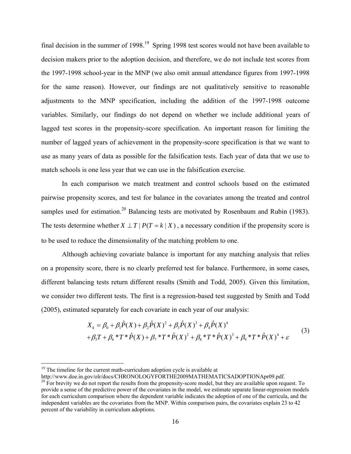final decision in the summer of  $1998$ <sup> $19$ </sup>. Spring 1998 test scores would not have been available to decision makers prior to the adoption decision, and therefore, we do not include test scores from the 1997-1998 school-year in the MNP (we also omit annual attendance figures from 1997-1998 for the same reason). However, our findings are not qualitatively sensitive to reasonable adjustments to the MNP specification, including the addition of the 1997-1998 outcome variables. Similarly, our findings do not depend on whether we include additional years of lagged test scores in the propensity-score specification. An important reason for limiting the number of lagged years of achievement in the propensity-score specification is that we want to use as many years of data as possible for the falsification tests. Each year of data that we use to match schools is one less year that we can use in the falsification exercise.

In each comparison we match treatment and control schools based on the estimated pairwise propensity scores, and test for balance in the covariates among the treated and control samples used for estimation.<sup>20</sup> Balancing tests are motivated by Rosenbaum and Rubin (1983). The tests determine whether  $X \perp T | P(T = k | X)$ , a necessary condition if the propensity score is to be used to reduce the dimensionality of the matching problem to one.

Although achieving covariate balance is important for any matching analysis that relies on a propensity score, there is no clearly preferred test for balance. Furthermore, in some cases, different balancing tests return different results (Smith and Todd, 2005). Given this limitation, we consider two different tests. The first is a regression-based test suggested by Smith and Todd (2005), estimated separately for each covariate in each year of our analysis:

$$
X_{k} = \beta_{0} + \beta_{1}\hat{P}(X) + \beta_{2}\hat{P}(X)^{2} + \beta_{3}\hat{P}(X)^{3} + \beta_{4}\hat{P}(X)^{4}
$$
  
+ $\beta_{5}T + \beta_{6} * T * \hat{P}(X) + \beta_{7} * T * \hat{P}(X)^{2} + \beta_{8} * T * \hat{P}(X)^{3} + \beta_{9} * T * \hat{P}(X)^{4} + \varepsilon$  (3)

 $\overline{a}$ 

<sup>&</sup>lt;sup>19</sup> The timeline for the current math-curriculum adoption cycle is available at  $\frac{http://www.doe.in.gov/olr/docs/CHRONOLOGYPORTHE2009MATHEMATICSADOPTIONApr09.pdf.}$ 

<sup>&</sup>lt;sup>20</sup> For brevity we do not report the results from the propensity-score model, but they are available upon request. To provide a sense of the predictive power of the covariates in the model, we estimate separate linear-regression models for each curriculum comparison where the dependent variable indicates the adoption of one of the curricula, and the independent variables are the covariates from the MNP. Within comparison pairs, the covariates explain 23 to 42 percent of the variability in curriculum adoptions.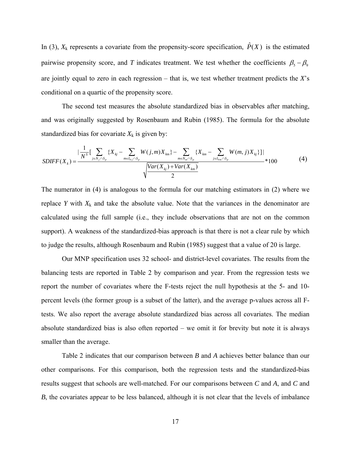In (3),  $X_k$  represents a covariate from the propensity-score specification,  $\hat{P}(X)$  is the estimated pairwise propensity score, and *T* indicates treatment. We test whether the coefficients  $\beta_5 - \beta_9$ are jointly equal to zero in each regression – that is, we test whether treatment predicts the *X*'s conditional on a quartic of the propensity score.

 The second test measures the absolute standardized bias in observables after matching, and was originally suggested by Rosenbaum and Rubin (1985). The formula for the absolute standardized bias for covariate  $X_k$  is given by:

$$
SDIFF(X_k) = \frac{|\frac{1}{N^s}[\sum_{j \in N_j \cap S_p} \{X_{kj} - \sum_{m \in I_{0j} \cap S_p} W(j,m)X_{km}\} - \sum_{m \in N_m \cap S_p} \{X_{km} - \sum_{j \in I_{0m} \cap S_p} W(m,j)X_{kj}\}]|}{\sqrt{\frac{Var(X_{kj}) + Var(X_{km})}{2}}} * 100
$$
(4)

The numerator in (4) is analogous to the formula for our matching estimators in (2) where we replace *Y* with  $X_k$  and take the absolute value. Note that the variances in the denominator are calculated using the full sample (i.e., they include observations that are not on the common support). A weakness of the standardized-bias approach is that there is not a clear rule by which to judge the results, although Rosenbaum and Rubin (1985) suggest that a value of 20 is large.

Our MNP specification uses 32 school- and district-level covariates. The results from the balancing tests are reported in Table 2 by comparison and year. From the regression tests we report the number of covariates where the F-tests reject the null hypothesis at the 5- and 10 percent levels (the former group is a subset of the latter), and the average p-values across all Ftests. We also report the average absolute standardized bias across all covariates. The median absolute standardized bias is also often reported – we omit it for brevity but note it is always smaller than the average.

Table 2 indicates that our comparison between *B* and *A* achieves better balance than our other comparisons. For this comparison, both the regression tests and the standardized-bias results suggest that schools are well-matched. For our comparisons between *C* and *A*, and *C* and *B*, the covariates appear to be less balanced, although it is not clear that the levels of imbalance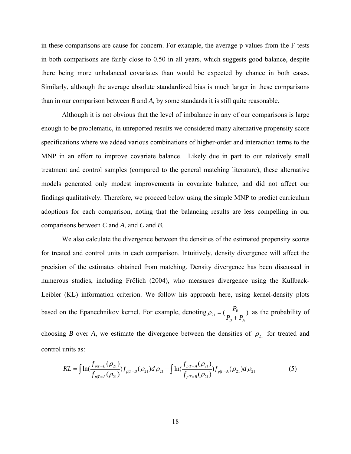in these comparisons are cause for concern. For example, the average p-values from the F-tests in both comparisons are fairly close to 0.50 in all years, which suggests good balance, despite there being more unbalanced covariates than would be expected by chance in both cases. Similarly, although the average absolute standardized bias is much larger in these comparisons than in our comparison between *B* and *A,* by some standards it is still quite reasonable.

Although it is not obvious that the level of imbalance in any of our comparisons is large enough to be problematic, in unreported results we considered many alternative propensity score specifications where we added various combinations of higher-order and interaction terms to the MNP in an effort to improve covariate balance. Likely due in part to our relatively small treatment and control samples (compared to the general matching literature), these alternative models generated only modest improvements in covariate balance, and did not affect our findings qualitatively. Therefore, we proceed below using the simple MNP to predict curriculum adoptions for each comparison, noting that the balancing results are less compelling in our comparisons between *C* and *A*, and *C* and *B*.

We also calculate the divergence between the densities of the estimated propensity scores for treated and control units in each comparison. Intuitively, density divergence will affect the precision of the estimates obtained from matching. Density divergence has been discussed in numerous studies, including Frölich (2004), who measures divergence using the Kullback-Leibler (KL) information criterion. We follow his approach here, using kernel-density plots based on the Epanechnikov kernel. For example, denoting  $\rho_{21} = (\frac{P_B}{P_A + P_B})$ *B A*  $\rho_{21} = \left(\frac{P_B}{P_B + P_A}\right)$  as the probability of

choosing *B* over *A*, we estimate the divergence between the densities of  $\rho_{21}$  for treated and control units as:

$$
KL = \int \ln\left(\frac{f_{p|T=B}(\rho_{21})}{f_{p|T=A}(\rho_{21})}\right) f_{p|T=B}(\rho_{21}) d\rho_{21} + \int \ln\left(\frac{f_{p|T=A}(\rho_{21})}{f_{p|T=B}(\rho_{21})}\right) f_{p|T=A}(\rho_{21}) d\rho_{21}
$$
(5)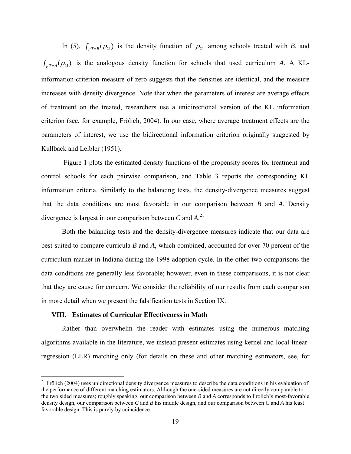In (5),  $f_{p|T=B}(\rho_{21})$  is the density function of  $\rho_{21}$  among schools treated with *B*, and  $f_{pT=4}(\rho_{21})$  is the analogous density function for schools that used curriculum *A*. A KLinformation-criterion measure of zero suggests that the densities are identical, and the measure increases with density divergence. Note that when the parameters of interest are average effects of treatment on the treated, researchers use a unidirectional version of the KL information criterion (see, for example, Frölich, 2004). In our case, where average treatment effects are the parameters of interest, we use the bidirectional information criterion originally suggested by Kullback and Leibler (1951).

 Figure 1 plots the estimated density functions of the propensity scores for treatment and control schools for each pairwise comparison, and Table 3 reports the corresponding KL information criteria. Similarly to the balancing tests, the density-divergence measures suggest that the data conditions are most favorable in our comparison between *B* and *A*. Density divergence is largest in our comparison between *C* and *A*. 21

Both the balancing tests and the density-divergence measures indicate that our data are best-suited to compare curricula *B* and *A*, which combined, accounted for over 70 percent of the curriculum market in Indiana during the 1998 adoption cycle. In the other two comparisons the data conditions are generally less favorable; however, even in these comparisons, it is not clear that they are cause for concern. We consider the reliability of our results from each comparison in more detail when we present the falsification tests in Section IX.

#### **VIII. Estimates of Curricular Effectiveness in Math**

 $\overline{a}$ 

Rather than overwhelm the reader with estimates using the numerous matching algorithms available in the literature, we instead present estimates using kernel and local-linearregression (LLR) matching only (for details on these and other matching estimators, see, for

 $21$  Frölich (2004) uses unidirectional density divergence measures to describe the data conditions in his evaluation of the performance of different matching estimators. Although the one-sided measures are not directly comparable to the two sided measures; roughly speaking, our comparison between *B* and *A* corresponds to Frolich's most-favorable density design, our comparison between *C* and *B* his middle design, and our comparison between *C* and *A* his least favorable design. This is purely by coincidence.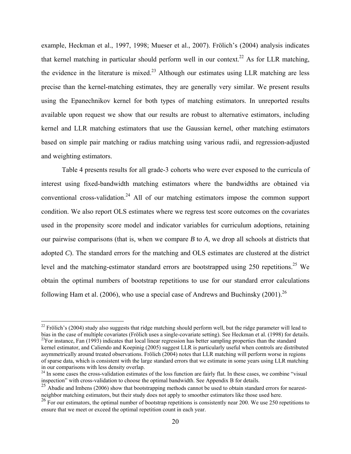example, Heckman et al., 1997, 1998; Mueser et al., 2007). Frölich's (2004) analysis indicates that kernel matching in particular should perform well in our context.<sup>22</sup> As for LLR matching, the evidence in the literature is mixed.<sup>23</sup> Although our estimates using LLR matching are less precise than the kernel-matching estimates, they are generally very similar. We present results using the Epanechnikov kernel for both types of matching estimators. In unreported results available upon request we show that our results are robust to alternative estimators, including kernel and LLR matching estimators that use the Gaussian kernel, other matching estimators based on simple pair matching or radius matching using various radii, and regression-adjusted and weighting estimators.

Table 4 presents results for all grade-3 cohorts who were ever exposed to the curricula of interest using fixed-bandwidth matching estimators where the bandwidths are obtained via conventional cross-validation.<sup>24</sup> All of our matching estimators impose the common support condition. We also report OLS estimates where we regress test score outcomes on the covariates used in the propensity score model and indicator variables for curriculum adoptions, retaining our pairwise comparisons (that is, when we compare *B* to *A*, we drop all schools at districts that adopted *C*). The standard errors for the matching and OLS estimates are clustered at the district level and the matching-estimator standard errors are bootstrapped using  $250$  repetitions.<sup>25</sup> We obtain the optimal numbers of bootstrap repetitions to use for our standard error calculations following Ham et al. (2006), who use a special case of Andrews and Buchinsky (2001).<sup>26</sup>

<sup>&</sup>lt;sup>22</sup> Frölich's (2004) study also suggests that ridge matching should perform well, but the ridge parameter will lead to bias in the case of multiple covariates (Frölich uses a single-covariate setting). See Heckman et al.  $^{23}$ For instance, Fan (1993) indicates that local linear regression has better sampling properties than the standard

kernel estimator, and Caliendo and Koepinig (2005) suggest LLR is particularly useful when controls are distributed asymmetrically around treated observations. Frölich (2004) notes that LLR matching will perform worse in regions of sparse data, which is consistent with the large standard errors that we estimate in some years using LLR matching in our comparisons with less density overlap.

<sup>&</sup>lt;sup>24</sup> In some cases the cross-validation estimates of the loss function are fairly flat. In these cases, we combine "visual" inspection" with cross-validation to choose the optimal bandwidth. See Appendix B for details.

<sup>&</sup>lt;sup>25</sup> Abadie and Imbens (2006) show that bootstrapping methods cannot be used to obtain standard errors for nearestneighbor matching estimators, but their study does not apply to smoother estimators like those used here.

 $^{26}$  For our estimators, the optimal number of bootstrap repetitions is consistently near 200. We use 250 repetitions to ensure that we meet or exceed the optimal repetition count in each year.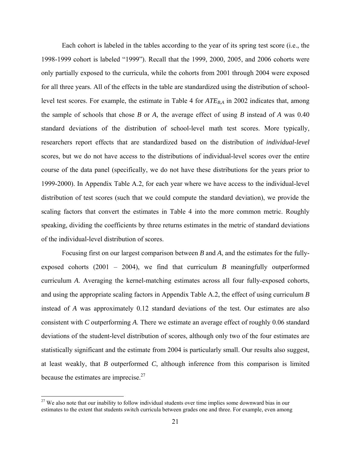Each cohort is labeled in the tables according to the year of its spring test score (i.e., the 1998-1999 cohort is labeled "1999"). Recall that the 1999, 2000, 2005, and 2006 cohorts were only partially exposed to the curricula, while the cohorts from 2001 through 2004 were exposed for all three years. All of the effects in the table are standardized using the distribution of schoollevel test scores. For example, the estimate in Table 4 for  $ATE_{BA}$  in 2002 indicates that, among the sample of schools that chose *B* or *A,* the average effect of using *B* instead of *A* was 0.40 standard deviations of the distribution of school-level math test scores. More typically, researchers report effects that are standardized based on the distribution of *individual-level* scores, but we do not have access to the distributions of individual-level scores over the entire course of the data panel (specifically, we do not have these distributions for the years prior to 1999-2000). In Appendix Table A.2, for each year where we have access to the individual-level distribution of test scores (such that we could compute the standard deviation), we provide the scaling factors that convert the estimates in Table 4 into the more common metric. Roughly speaking, dividing the coefficients by three returns estimates in the metric of standard deviations of the individual-level distribution of scores.

Focusing first on our largest comparison between *B* and *A*, and the estimates for the fullyexposed cohorts (2001 – 2004), we find that curriculum *B* meaningfully outperformed curriculum *A*. Averaging the kernel-matching estimates across all four fully-exposed cohorts, and using the appropriate scaling factors in Appendix Table A.2, the effect of using curriculum *B* instead of *A* was approximately 0.12 standard deviations of the test*.* Our estimates are also consistent with *C* outperforming *A*. There we estimate an average effect of roughly 0.06 standard deviations of the student-level distribution of scores, although only two of the four estimates are statistically significant and the estimate from 2004 is particularly small. Our results also suggest, at least weakly, that *B* outperformed *C*, although inference from this comparison is limited because the estimates are imprecise.<sup>27</sup>

 $\overline{a}$ 

<sup>&</sup>lt;sup>27</sup> We also note that our inability to follow individual students over time implies some downward bias in our estimates to the extent that students switch curricula between grades one and three. For example, even among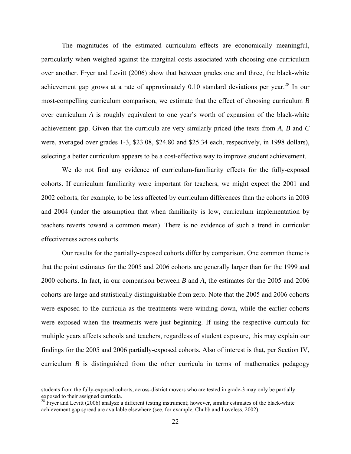The magnitudes of the estimated curriculum effects are economically meaningful, particularly when weighed against the marginal costs associated with choosing one curriculum over another. Fryer and Levitt (2006) show that between grades one and three, the black-white achievement gap grows at a rate of approximately 0.10 standard deviations per year.<sup>28</sup> In our most-compelling curriculum comparison, we estimate that the effect of choosing curriculum *B* over curriculum *A* is roughly equivalent to one year's worth of expansion of the black-white achievement gap. Given that the curricula are very similarly priced (the texts from *A, B* and *C* were, averaged over grades 1-3, \$23.08, \$24.80 and \$25.34 each, respectively, in 1998 dollars), selecting a better curriculum appears to be a cost-effective way to improve student achievement.

We do not find any evidence of curriculum-familiarity effects for the fully-exposed cohorts. If curriculum familiarity were important for teachers, we might expect the 2001 and 2002 cohorts, for example, to be less affected by curriculum differences than the cohorts in 2003 and 2004 (under the assumption that when familiarity is low, curriculum implementation by teachers reverts toward a common mean). There is no evidence of such a trend in curricular effectiveness across cohorts.

Our results for the partially-exposed cohorts differ by comparison. One common theme is that the point estimates for the 2005 and 2006 cohorts are generally larger than for the 1999 and 2000 cohorts. In fact, in our comparison between *B* and *A*, the estimates for the 2005 and 2006 cohorts are large and statistically distinguishable from zero. Note that the 2005 and 2006 cohorts were exposed to the curricula as the treatments were winding down, while the earlier cohorts were exposed when the treatments were just beginning. If using the respective curricula for multiple years affects schools and teachers, regardless of student exposure, this may explain our findings for the 2005 and 2006 partially-exposed cohorts. Also of interest is that, per Section IV, curriculum *B* is distinguished from the other curricula in terms of mathematics pedagogy

students from the fully-exposed cohorts, across-district movers who are tested in grade-3 may only be partially exposed to their assigned curricula.

<sup>&</sup>lt;sup>28</sup> Fryer and Levitt (2006) analyze a different testing instrument; however, similar estimates of the black-white achievement gap spread are available elsewhere (see, for example, Chubb and Loveless, 2002).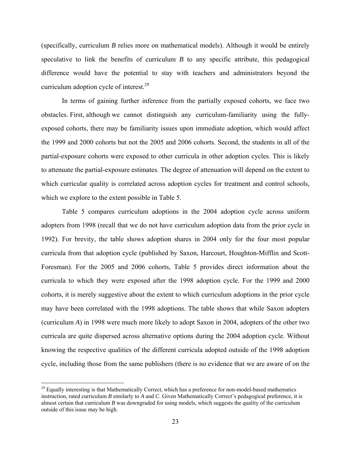(specifically, curriculum *B* relies more on mathematical models). Although it would be entirely speculative to link the benefits of curriculum *B* to any specific attribute, this pedagogical difference would have the potential to stay with teachers and administrators beyond the curriculum adoption cycle of interest.<sup>29</sup>

In terms of gaining further inference from the partially exposed cohorts, we face two obstacles. First, although we cannot distinguish any curriculum-familiarity using the fullyexposed cohorts, there may be familiarity issues upon immediate adoption, which would affect the 1999 and 2000 cohorts but not the 2005 and 2006 cohorts. Second, the students in all of the partial-exposure cohorts were exposed to other curricula in other adoption cycles. This is likely to attenuate the partial-exposure estimates. The degree of attenuation will depend on the extent to which curricular quality is correlated across adoption cycles for treatment and control schools, which we explore to the extent possible in Table 5.

Table 5 compares curriculum adoptions in the 2004 adoption cycle across uniform adopters from 1998 (recall that we do not have curriculum adoption data from the prior cycle in 1992). For brevity, the table shows adoption shares in 2004 only for the four most popular curricula from that adoption cycle (published by Saxon, Harcourt, Houghton-Mifflin and Scott-Foresman). For the 2005 and 2006 cohorts, Table 5 provides direct information about the curricula to which they were exposed after the 1998 adoption cycle. For the 1999 and 2000 cohorts, it is merely suggestive about the extent to which curriculum adoptions in the prior cycle may have been correlated with the 1998 adoptions. The table shows that while Saxon adopters (curriculum *A*) in 1998 were much more likely to adopt Saxon in 2004, adopters of the other two curricula are quite dispersed across alternative options during the 2004 adoption cycle. Without knowing the respective qualities of the different curricula adopted outside of the 1998 adoption cycle, including those from the same publishers (there is no evidence that we are aware of on the

<u>.</u>

<sup>&</sup>lt;sup>29</sup> Equally interesting is that Mathematically Correct, which has a preference for non-model-based mathematics instruction, rated curriculum *B* similarly to *A* and *C*. Given Mathematically Correct's pedagogical preference, it is almost certain that curriculum *B* was downgraded for using models, which suggests the quality of the curriculum outside of this issue may be high.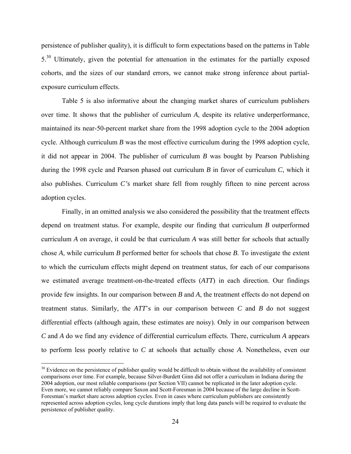persistence of publisher quality), it is difficult to form expectations based on the patterns in Table 5<sup>.30</sup> Ultimately, given the potential for attenuation in the estimates for the partially exposed cohorts, and the sizes of our standard errors, we cannot make strong inference about partialexposure curriculum effects.

Table 5 is also informative about the changing market shares of curriculum publishers over time. It shows that the publisher of curriculum *A*, despite its relative underperformance, maintained its near-50-percent market share from the 1998 adoption cycle to the 2004 adoption cycle. Although curriculum *B* was the most effective curriculum during the 1998 adoption cycle, it did not appear in 2004. The publisher of curriculum *B* was bought by Pearson Publishing during the 1998 cycle and Pearson phased out curriculum *B* in favor of curriculum *C*, which it also publishes. Curriculum *C's* market share fell from roughly fifteen to nine percent across adoption cycles.

Finally, in an omitted analysis we also considered the possibility that the treatment effects depend on treatment status. For example, despite our finding that curriculum *B* outperformed curriculum *A* on average, it could be that curriculum *A* was still better for schools that actually chose *A*, while curriculum *B* performed better for schools that chose *B*. To investigate the extent to which the curriculum effects might depend on treatment status, for each of our comparisons we estimated average treatment-on-the-treated effects (*ATT*) in each direction. Our findings provide few insights. In our comparison between *B* and *A*, the treatment effects do not depend on treatment status. Similarly, the *ATT*'s in our comparison between *C* and *B* do not suggest differential effects (although again, these estimates are noisy). Only in our comparison between *C* and *A* do we find any evidence of differential curriculum effects. There, curriculum *A* appears to perform less poorly relative to *C* at schools that actually chose *A*. Nonetheless, even our

 $\overline{a}$ 

 $30$  Evidence on the persistence of publisher quality would be difficult to obtain without the availability of consistent comparisons over time. For example, because Silver-Burdett Ginn did not offer a curriculum in Indiana during the 2004 adoption, our most reliable comparisons (per Section VII) cannot be replicated in the later adoption cycle. Even more, we cannot reliably compare Saxon and Scott-Foresman in 2004 because of the large decline in Scott-Foresman's market share across adoption cycles. Even in cases where curriculum publishers are consistently represented across adoption cycles, long cycle durations imply that long data panels will be required to evaluate the persistence of publisher quality.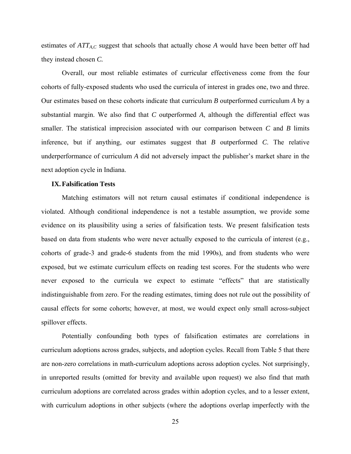estimates of  $ATT_{A,C}$  suggest that schools that actually chose A would have been better off had they instead chosen *C.*

Overall, our most reliable estimates of curricular effectiveness come from the four cohorts of fully-exposed students who used the curricula of interest in grades one, two and three. Our estimates based on these cohorts indicate that curriculum *B* outperformed curriculum *A* by a substantial margin. We also find that *C* outperformed *A*, although the differential effect was smaller. The statistical imprecision associated with our comparison between *C* and *B* limits inference, but if anything, our estimates suggest that *B* outperformed *C*. The relative underperformance of curriculum *A* did not adversely impact the publisher's market share in the next adoption cycle in Indiana.

#### **IX.Falsification Tests**

Matching estimators will not return causal estimates if conditional independence is violated. Although conditional independence is not a testable assumption, we provide some evidence on its plausibility using a series of falsification tests. We present falsification tests based on data from students who were never actually exposed to the curricula of interest (e.g., cohorts of grade-3 and grade-6 students from the mid 1990s), and from students who were exposed, but we estimate curriculum effects on reading test scores. For the students who were never exposed to the curricula we expect to estimate "effects" that are statistically indistinguishable from zero. For the reading estimates, timing does not rule out the possibility of causal effects for some cohorts; however, at most, we would expect only small across-subject spillover effects.

Potentially confounding both types of falsification estimates are correlations in curriculum adoptions across grades, subjects, and adoption cycles. Recall from Table 5 that there are non-zero correlations in math-curriculum adoptions across adoption cycles. Not surprisingly, in unreported results (omitted for brevity and available upon request) we also find that math curriculum adoptions are correlated across grades within adoption cycles, and to a lesser extent, with curriculum adoptions in other subjects (where the adoptions overlap imperfectly with the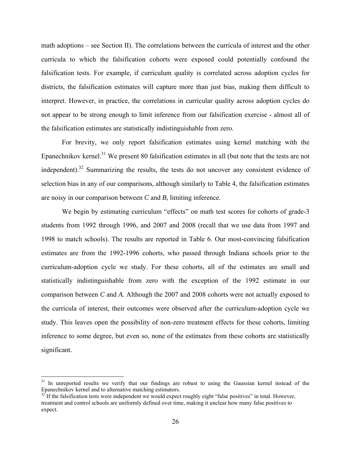math adoptions – see Section II). The correlations between the curricula of interest and the other curricula to which the falsification cohorts were exposed could potentially confound the falsification tests. For example, if curriculum quality is correlated across adoption cycles for districts, the falsification estimates will capture more than just bias, making them difficult to interpret. However, in practice, the correlations in curricular quality across adoption cycles do not appear to be strong enough to limit inference from our falsification exercise - almost all of the falsification estimates are statistically indistinguishable from zero.

For brevity, we only report falsification estimates using kernel matching with the Epanechnikov kernel.<sup>31</sup> We present 80 falsification estimates in all (but note that the tests are not independent).<sup>32</sup> Summarizing the results, the tests do not uncover any consistent evidence of selection bias in any of our comparisons, although similarly to Table 4, the falsification estimates are noisy in our comparison between *C* and *B*, limiting inference.

We begin by estimating curriculum "effects" on math test scores for cohorts of grade-3 students from 1992 through 1996, and 2007 and 2008 (recall that we use data from 1997 and 1998 to match schools). The results are reported in Table 6. Our most-convincing falsification estimates are from the 1992-1996 cohorts, who passed through Indiana schools prior to the curriculum-adoption cycle we study. For these cohorts, all of the estimates are small and statistically indistinguishable from zero with the exception of the 1992 estimate in our comparison between *C* and *A*. Although the 2007 and 2008 cohorts were not actually exposed to the curricula of interest, their outcomes were observed after the curriculum-adoption cycle we study. This leaves open the possibility of non-zero treatment effects for these cohorts, limiting inference to some degree, but even so, none of the estimates from these cohorts are statistically significant.

 $\overline{a}$ 

<sup>&</sup>lt;sup>31</sup> In unreported results we verify that our findings are robust to using the Gaussian kernel instead of the Epanechnikov kernel and to alternative matching estimators.

 $32^{\circ}$  If the falsification tests were independent we would expect roughly eight "false positives" in total. However, treatment and control schools are uniformly defined over time, making it unclear how many false positives to expect.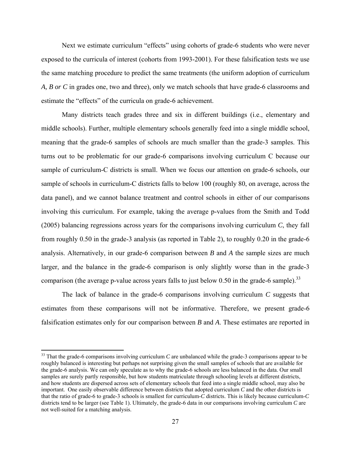Next we estimate curriculum "effects" using cohorts of grade-6 students who were never exposed to the curricula of interest (cohorts from 1993-2001). For these falsification tests we use the same matching procedure to predict the same treatments (the uniform adoption of curriculum *A, B or C* in grades one, two and three), only we match schools that have grade-6 classrooms and estimate the "effects" of the curricula on grade-6 achievement.

Many districts teach grades three and six in different buildings (i.e., elementary and middle schools). Further, multiple elementary schools generally feed into a single middle school, meaning that the grade-6 samples of schools are much smaller than the grade-3 samples. This turns out to be problematic for our grade-6 comparisons involving curriculum C because our sample of curriculum-C districts is small. When we focus our attention on grade-6 schools, our sample of schools in curriculum-C districts falls to below 100 (roughly 80, on average, across the data panel), and we cannot balance treatment and control schools in either of our comparisons involving this curriculum. For example, taking the average p-values from the Smith and Todd (2005) balancing regressions across years for the comparisons involving curriculum *C*, they fall from roughly 0.50 in the grade-3 analysis (as reported in Table 2), to roughly 0.20 in the grade-6 analysis. Alternatively, in our grade-6 comparison between *B* and *A* the sample sizes are much larger, and the balance in the grade-6 comparison is only slightly worse than in the grade-3 comparison (the average p-value across years falls to just below  $0.50$  in the grade-6 sample).<sup>33</sup>

The lack of balance in the grade-6 comparisons involving curriculum *C* suggests that estimates from these comparisons will not be informative. Therefore, we present grade-6 falsification estimates only for our comparison between *B* and *A*. These estimates are reported in

 $\overline{a}$ 

<sup>&</sup>lt;sup>33</sup> That the grade-6 comparisons involving curriculum *C* are unbalanced while the grade-3 comparisons appear to be roughly balanced is interesting but perhaps not surprising given the small samples of schools that are available for the grade-6 analysis. We can only speculate as to why the grade-6 schools are less balanced in the data. Our small samples are surely partly responsible, but how students matriculate through schooling levels at different districts, and how students are dispersed across sets of elementary schools that feed into a single middle school, may also be important. One easily observable difference between districts that adopted curriculum *C* and the other districts is that the ratio of grade-6 to grade-3 schools is smallest for curriculum-*C* districts. This is likely because curriculum-*C* districts tend to be larger (see Table 1). Ultimately, the grade-6 data in our comparisons involving curriculum *C* are not well-suited for a matching analysis.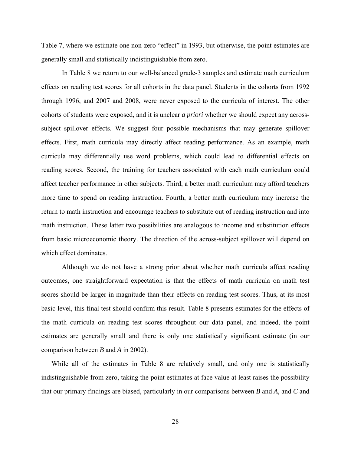Table 7, where we estimate one non-zero "effect" in 1993, but otherwise, the point estimates are generally small and statistically indistinguishable from zero.

In Table 8 we return to our well-balanced grade-3 samples and estimate math curriculum effects on reading test scores for all cohorts in the data panel. Students in the cohorts from 1992 through 1996, and 2007 and 2008, were never exposed to the curricula of interest. The other cohorts of students were exposed, and it is unclear *a priori* whether we should expect any acrosssubject spillover effects. We suggest four possible mechanisms that may generate spillover effects. First, math curricula may directly affect reading performance. As an example, math curricula may differentially use word problems, which could lead to differential effects on reading scores. Second, the training for teachers associated with each math curriculum could affect teacher performance in other subjects. Third, a better math curriculum may afford teachers more time to spend on reading instruction. Fourth, a better math curriculum may increase the return to math instruction and encourage teachers to substitute out of reading instruction and into math instruction. These latter two possibilities are analogous to income and substitution effects from basic microeconomic theory. The direction of the across-subject spillover will depend on which effect dominates.

 Although we do not have a strong prior about whether math curricula affect reading outcomes, one straightforward expectation is that the effects of math curricula on math test scores should be larger in magnitude than their effects on reading test scores. Thus, at its most basic level, this final test should confirm this result. Table 8 presents estimates for the effects of the math curricula on reading test scores throughout our data panel, and indeed, the point estimates are generally small and there is only one statistically significant estimate (in our comparison between *B* and *A* in 2002).

While all of the estimates in Table 8 are relatively small, and only one is statistically indistinguishable from zero, taking the point estimates at face value at least raises the possibility that our primary findings are biased, particularly in our comparisons between *B* and *A*, and *C* and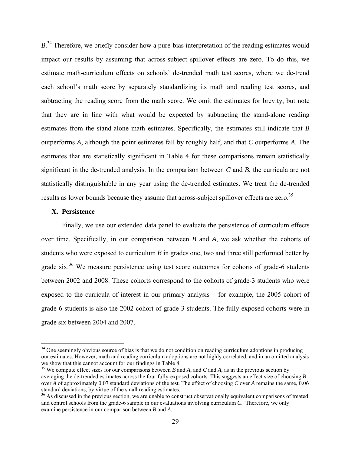$B$ <sup>34</sup>. Therefore, we briefly consider how a pure-bias interpretation of the reading estimates would impact our results by assuming that across-subject spillover effects are zero. To do this, we estimate math-curriculum effects on schools' de-trended math test scores, where we de-trend each school's math score by separately standardizing its math and reading test scores, and subtracting the reading score from the math score. We omit the estimates for brevity, but note that they are in line with what would be expected by subtracting the stand-alone reading estimates from the stand-alone math estimates. Specifically, the estimates still indicate that *B* outperforms *A*, although the point estimates fall by roughly half, and that *C* outperforms *A*. The estimates that are statistically significant in Table 4 for these comparisons remain statistically significant in the de-trended analysis. In the comparison between *C* and *B*, the curricula are not statistically distinguishable in any year using the de-trended estimates. We treat the de-trended results as lower bounds because they assume that across-subject spillover effects are zero.<sup>35</sup>

#### **X. Persistence**

 $\overline{a}$ 

Finally, we use our extended data panel to evaluate the persistence of curriculum effects over time. Specifically, in our comparison between *B* and *A*, we ask whether the cohorts of students who were exposed to curriculum *B* in grades one, two and three still performed better by grade six.<sup>36</sup> We measure persistence using test score outcomes for cohorts of grade-6 students between 2002 and 2008. These cohorts correspond to the cohorts of grade-3 students who were exposed to the curricula of interest in our primary analysis – for example, the 2005 cohort of grade-6 students is also the 2002 cohort of grade-3 students. The fully exposed cohorts were in grade six between 2004 and 2007.

<sup>&</sup>lt;sup>34</sup> One seemingly obvious source of bias is that we do not condition on reading curriculum adoptions in producing our estimates. However, math and reading curriculum adoptions are not highly correlated, and in an omitted analysis we show that this cannot account for our findings in Table 8.

<sup>35</sup> We compute effect sizes for our comparisons between *B* and *A*, and *C* and *A*, as in the previous section by averaging the de-trended estimates across the four fully-exposed cohorts. This suggests an effect size of choosing *B* over *A* of approximately 0.07 standard deviations of the test. The effect of choosing *C* over *A* remains the same, 0.06 standard deviations, by virtue of the small reading estimates.

<sup>&</sup>lt;sup>36</sup> As discussed in the previous section, we are unable to construct observationally equivalent comparisons of treated and control schools from the grade-6 sample in our evaluations involving curriculum *C*. Therefore, we only examine persistence in our comparison between *B* and *A*.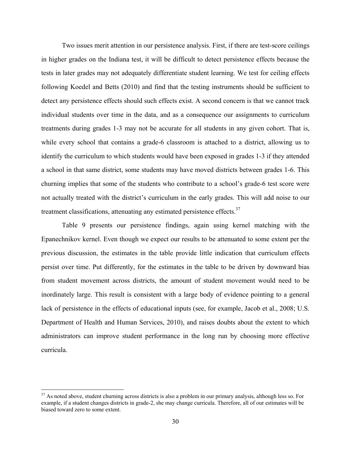Two issues merit attention in our persistence analysis. First, if there are test-score ceilings in higher grades on the Indiana test, it will be difficult to detect persistence effects because the tests in later grades may not adequately differentiate student learning. We test for ceiling effects following Koedel and Betts (2010) and find that the testing instruments should be sufficient to detect any persistence effects should such effects exist. A second concern is that we cannot track individual students over time in the data, and as a consequence our assignments to curriculum treatments during grades 1-3 may not be accurate for all students in any given cohort. That is, while every school that contains a grade-6 classroom is attached to a district, allowing us to identify the curriculum to which students would have been exposed in grades 1-3 if they attended a school in that same district, some students may have moved districts between grades 1-6. This churning implies that some of the students who contribute to a school's grade-6 test score were not actually treated with the district's curriculum in the early grades. This will add noise to our treatment classifications, attenuating any estimated persistence effects. $37$ 

Table 9 presents our persistence findings, again using kernel matching with the Epanechnikov kernel. Even though we expect our results to be attenuated to some extent per the previous discussion, the estimates in the table provide little indication that curriculum effects persist over time. Put differently, for the estimates in the table to be driven by downward bias from student movement across districts, the amount of student movement would need to be inordinately large. This result is consistent with a large body of evidence pointing to a general lack of persistence in the effects of educational inputs (see, for example, Jacob et al., 2008; U.S. Department of Health and Human Services, 2010), and raises doubts about the extent to which administrators can improve student performance in the long run by choosing more effective curricula.

 $\overline{a}$ 

 $37$  As noted above, student churning across districts is also a problem in our primary analysis, although less so. For example, if a student changes districts in grade-2, she may change curricula. Therefore, all of our estimates will be biased toward zero to some extent.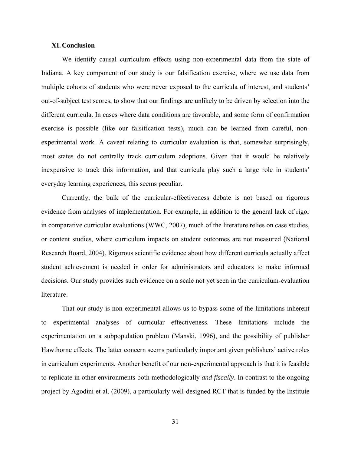#### **XI.Conclusion**

We identify causal curriculum effects using non-experimental data from the state of Indiana. A key component of our study is our falsification exercise, where we use data from multiple cohorts of students who were never exposed to the curricula of interest, and students' out-of-subject test scores, to show that our findings are unlikely to be driven by selection into the different curricula. In cases where data conditions are favorable, and some form of confirmation exercise is possible (like our falsification tests), much can be learned from careful, nonexperimental work. A caveat relating to curricular evaluation is that, somewhat surprisingly, most states do not centrally track curriculum adoptions. Given that it would be relatively inexpensive to track this information, and that curricula play such a large role in students' everyday learning experiences, this seems peculiar.

Currently, the bulk of the curricular-effectiveness debate is not based on rigorous evidence from analyses of implementation. For example, in addition to the general lack of rigor in comparative curricular evaluations (WWC, 2007), much of the literature relies on case studies, or content studies, where curriculum impacts on student outcomes are not measured (National Research Board, 2004). Rigorous scientific evidence about how different curricula actually affect student achievement is needed in order for administrators and educators to make informed decisions. Our study provides such evidence on a scale not yet seen in the curriculum-evaluation literature.

That our study is non-experimental allows us to bypass some of the limitations inherent to experimental analyses of curricular effectiveness. These limitations include the experimentation on a subpopulation problem (Manski, 1996), and the possibility of publisher Hawthorne effects. The latter concern seems particularly important given publishers' active roles in curriculum experiments. Another benefit of our non-experimental approach is that it is feasible to replicate in other environments both methodologically *and fiscally*. In contrast to the ongoing project by Agodini et al. (2009), a particularly well-designed RCT that is funded by the Institute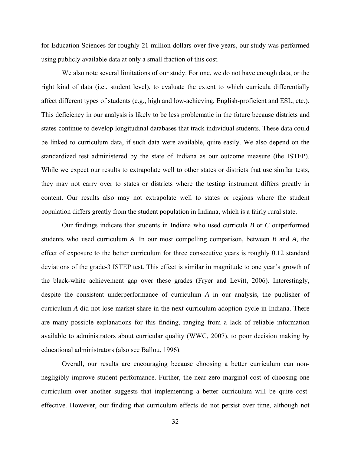for Education Sciences for roughly 21 million dollars over five years, our study was performed using publicly available data at only a small fraction of this cost.

We also note several limitations of our study. For one, we do not have enough data, or the right kind of data (i.e., student level), to evaluate the extent to which curricula differentially affect different types of students (e.g., high and low-achieving, English-proficient and ESL, etc.). This deficiency in our analysis is likely to be less problematic in the future because districts and states continue to develop longitudinal databases that track individual students. These data could be linked to curriculum data, if such data were available, quite easily. We also depend on the standardized test administered by the state of Indiana as our outcome measure (the ISTEP). While we expect our results to extrapolate well to other states or districts that use similar tests, they may not carry over to states or districts where the testing instrument differs greatly in content. Our results also may not extrapolate well to states or regions where the student population differs greatly from the student population in Indiana, which is a fairly rural state.

Our findings indicate that students in Indiana who used curricula *B* or *C* outperformed students who used curriculum *A*. In our most compelling comparison, between *B* and *A*, the effect of exposure to the better curriculum for three consecutive years is roughly 0.12 standard deviations of the grade-3 ISTEP test. This effect is similar in magnitude to one year's growth of the black-white achievement gap over these grades (Fryer and Levitt, 2006). Interestingly, despite the consistent underperformance of curriculum *A* in our analysis, the publisher of curriculum *A* did not lose market share in the next curriculum adoption cycle in Indiana. There are many possible explanations for this finding, ranging from a lack of reliable information available to administrators about curricular quality (WWC, 2007), to poor decision making by educational administrators (also see Ballou, 1996).

Overall, our results are encouraging because choosing a better curriculum can nonnegligibly improve student performance. Further, the near-zero marginal cost of choosing one curriculum over another suggests that implementing a better curriculum will be quite costeffective. However, our finding that curriculum effects do not persist over time, although not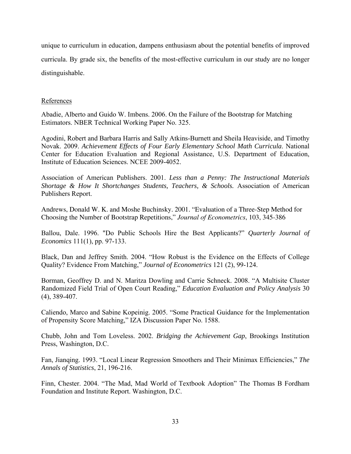unique to curriculum in education, dampens enthusiasm about the potential benefits of improved curricula. By grade six, the benefits of the most-effective curriculum in our study are no longer distinguishable.

#### References

Abadie, Alberto and Guido W. Imbens. 2006. On the Failure of the Bootstrap for Matching Estimators. NBER Technical Working Paper No. 325.

Agodini, Robert and Barbara Harris and Sally Atkins-Burnett and Sheila Heaviside, and Timothy Novak. 2009. *Achievement Effects of Four Early Elementary School Math Curricula*. National Center for Education Evaluation and Regional Assistance, U.S. Department of Education, Institute of Education Sciences. NCEE 2009-4052.

Association of American Publishers. 2001. *Less than a Penny: The Instructional Materials Shortage & How It Shortchanges Students, Teachers, & Schools.* Association of American Publishers Report.

Andrews, Donald W. K. and Moshe Buchinsky. 2001. "Evaluation of a Three-Step Method for Choosing the Number of Bootstrap Repetitions," *Journal of Econometrics*, 103, 345-386

Ballou, Dale. 1996. "Do Public Schools Hire the Best Applicants?" *Quarterly Journal of Economics* 111(1), pp. 97-133.

Black, Dan and Jeffrey Smith. 2004. "How Robust is the Evidence on the Effects of College Quality? Evidence From Matching," *Journal of Econometrics* 121 (2), 99-124.

Borman, Geoffrey D. and N. Maritza Dowling and Carrie Schneck. 2008. "A Multisite Cluster Randomized Field Trial of Open Court Reading," *Education Evaluation and Policy Analysis* 30 (4), 389-407.

Caliendo, Marco and Sabine Kopeinig. 2005. "Some Practical Guidance for the Implementation of Propensity Score Matching," IZA Discussion Paper No. 1588.

Chubb, John and Tom Loveless. 2002. *Bridging the Achievement Gap*, Brookings Institution Press, Washington, D.C.

Fan, Jianqing. 1993. "Local Linear Regression Smoothers and Their Minimax Efficiencies," *The Annals of Statistics*, 21, 196-216.

Finn, Chester. 2004. "The Mad, Mad World of Textbook Adoption" The Thomas B Fordham Foundation and Institute Report. Washington, D.C.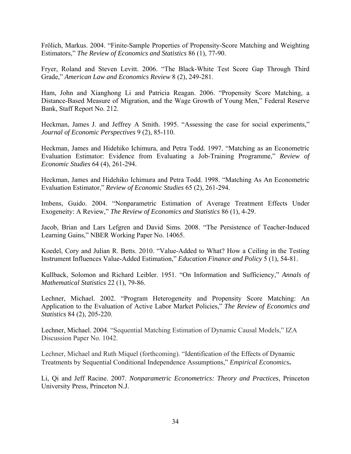Frölich, Markus. 2004. "Finite-Sample Properties of Propensity-Score Matching and Weighting Estimators," *The Review of Economics and Statistics* 86 (1), 77-90.

Fryer, Roland and Steven Levitt. 2006. "The Black-White Test Score Gap Through Third Grade," *American Law and Economics Review* 8 (2), 249-281.

Ham, John and Xianghong Li and Patricia Reagan. 2006. "Propensity Score Matching, a Distance-Based Measure of Migration, and the Wage Growth of Young Men," Federal Reserve Bank, Staff Report No. 212.

Heckman, James J. and Jeffrey A Smith. 1995. "Assessing the case for social experiments," *Journal of Economic Perspectives* 9 (2), 85-110.

Heckman, James and Hidehiko Ichimura, and Petra Todd. 1997. "Matching as an Econometric Evaluation Estimator: Evidence from Evaluating a Job-Training Programme," *Review of Economic Studies* 64 (4), 261-294.

Heckman, James and Hidehiko Ichimura and Petra Todd. 1998. "Matching As An Econometric Evaluation Estimator," *Review of Economic Studies* 65 (2), 261-294.

Imbens, Guido. 2004. "Nonparametric Estimation of Average Treatment Effects Under Exogeneity: A Review," *The Review of Economics and Statistics* 86 (1), 4-29.

Jacob, Brian and Lars Lefgren and David Sims. 2008. "The Persistence of Teacher-Induced Learning Gains," NBER Working Paper No. 14065.

Koedel, Cory and Julian R. Betts. 2010. "Value-Added to What? How a Ceiling in the Testing Instrument Influences Value-Added Estimation," *Education Finance and Policy* 5 (1), 54-81.

Kullback, Solomon and Richard Leibler. 1951. "On Information and Sufficiency," *Annals of Mathematical Statistics* 22 (1), 79-86.

Lechner, Michael. 2002. "Program Heterogeneity and Propensity Score Matching: An Application to the Evaluation of Active Labor Market Policies," *The Review of Economics and Statistics* 84 (2), 205-220.

Lechner, Michael. 2004. "Sequential Matching Estimation of Dynamic Causal Models," IZA Discussion Paper No. 1042.

Lechner, Michael and Ruth Miquel (forthcoming). "Identification of the Effects of Dynamic Treatments by Sequential Conditional Independence Assumptions," *Empirical Economics***.** 

Li, Qi and Jeff Racine. 2007. *Nonparametric Econometrics: Theory and Practices*, Princeton University Press, Princeton N.J.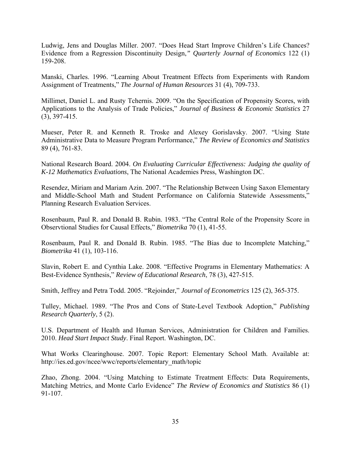Ludwig, Jens and Douglas Miller. 2007. "Does Head Start Improve Children's Life Chances? Evidence from a Regression Discontinuity Design,*" Quarterly Journal of Economics* 122 (1) 159-208.

Manski, Charles. 1996. "Learning About Treatment Effects from Experiments with Random Assignment of Treatments," *The Journal of Human Resources* 31 (4), 709-733.

Millimet, Daniel L. and Rusty Tchernis. 2009. "On the Specification of Propensity Scores, with Applications to the Analysis of Trade Policies," *Journal of Business & Economic Statistics* 27 (3), 397-415.

Mueser, Peter R. and Kenneth R. Troske and Alexey Gorislavsky. 2007. "Using State Administrative Data to Measure Program Performance," *The Review of Economics and Statistics* 89 (4), 761-83.

National Research Board. 2004. *On Evaluating Curricular Effectiveness: Judging the quality of K-12 Mathematics Evaluations*, The National Academies Press, Washington DC.

Resendez, Miriam and Mariam Azin. 2007. "The Relationship Between Using Saxon Elementary and Middle-School Math and Student Performance on California Statewide Assessments," Planning Research Evaluation Services.

Rosenbaum, Paul R. and Donald B. Rubin. 1983. "The Central Role of the Propensity Score in Observtional Studies for Causal Effects," *Biometrika* 70 (1), 41-55.

Rosenbaum, Paul R. and Donald B. Rubin. 1985. "The Bias due to Incomplete Matching," *Biometrika* 41 (1), 103-116.

Slavin, Robert E. and Cynthia Lake. 2008. "Effective Programs in Elementary Mathematics: A Best-Evidence Synthesis," *Review of Educational Research*, 78 (3), 427-515.

Smith, Jeffrey and Petra Todd. 2005. "Rejoinder," *Journal of Econometrics* 125 (2), 365-375.

Tulley, Michael. 1989. "The Pros and Cons of State-Level Textbook Adoption," *Publishing Research Quarterly*, 5 (2).

U.S. Department of Health and Human Services, Administration for Children and Families. 2010. *Head Start Impact Study*. Final Report. Washington, DC.

What Works Clearinghouse. 2007. Topic Report: Elementary School Math. Available at: http://ies.ed.gov/ncee/wwc/reports/elementary\_math/topic

Zhao, Zhong. 2004. "Using Matching to Estimate Treatment Effects: Data Requirements, Matching Metrics, and Monte Carlo Evidence" *The Review of Economics and Statistics* 86 (1) 91-107.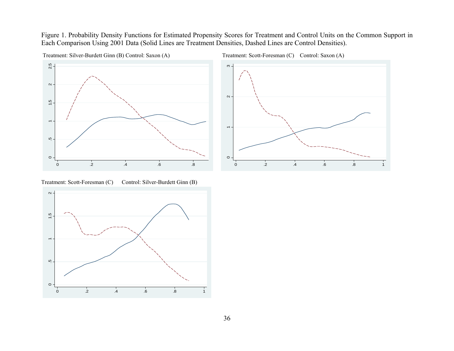Figure 1. Probability Density Functions for Estimated Propensity Scores for Treatment and Control Units on the Common Support in Each Comparison Using 2001 Data (Solid Lines are Treatment Densities, Dashed Lines are Control Densities).



Treatment: Silver-Burdett Ginn (B) Control: Saxon (A) Treatment: Scott-Foresman (C) Control: Saxon (A)



Treatment: Scott-Foresman (C) Control: Silver-Burdett Ginn (B)

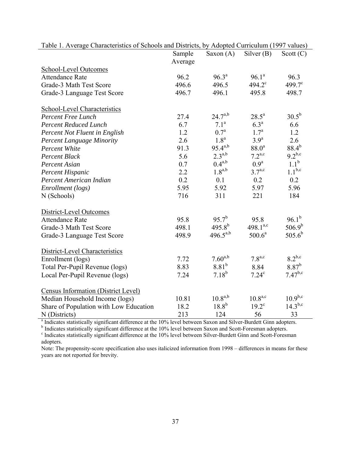| Table 1. Average Characteristics of Schools and Districts, by Adopted Curriculum (1997 values)                               |         |                   |                   |                  |
|------------------------------------------------------------------------------------------------------------------------------|---------|-------------------|-------------------|------------------|
|                                                                                                                              | Sample  | Saxon $(A)$       | Silver $(B)$      | Scott $(C)$      |
|                                                                                                                              | Average |                   |                   |                  |
| School-Level Outcomes                                                                                                        |         |                   |                   |                  |
| <b>Attendance Rate</b>                                                                                                       | 96.2    | $96.3^{\text{a}}$ | $96.1^a$          | 96.3             |
| Grade-3 Math Test Score                                                                                                      | 496.6   | 496.5             | $494.2^{\circ}$   | $499.7^{\circ}$  |
| Grade-3 Language Test Score                                                                                                  | 496.7   | 496.1             | 495.8             | 498.7            |
| <b>School-Level Characteristics</b>                                                                                          |         |                   |                   |                  |
| <b>Percent Free Lunch</b>                                                                                                    | 27.4    | $24.7^{a,b}$      | $28.5^{\rm a}$    | $30.5^{b}$       |
| <b>Percent Reduced Lunch</b>                                                                                                 | 6.7     | 7.1 <sup>a</sup>  | 6.3 <sup>a</sup>  | 6.6              |
| Percent Not Fluent in English                                                                                                | 1.2     | $0.7^{\rm a}$     | $1.7^{\rm a}$     | 1.2              |
| <b>Percent Language Minority</b>                                                                                             | 2.6     | 1.8 <sup>a</sup>  | 3.9 <sup>a</sup>  | 2.6              |
| Percent White                                                                                                                | 91.3    | $95.4^{a,b}$      | $88.0^{a}$        | $88.4^{b}$       |
| <b>Percent Black</b>                                                                                                         | 5.6     | $2.3^{a,b}$       | $7.2^{a,c}$       | $9.2^{b,c}$      |
| Percent Asian                                                                                                                | 0.7     | $0.4^{a,b}$       | 0.9 <sup>a</sup>  | 1.1 <sup>b</sup> |
| Percent Hispanic                                                                                                             | 2.2     | $1.8^{a,b}$       | $3.7^{a,c}$       | $1.1^{b,c}$      |
| Percent American Indian                                                                                                      | 0.2     | 0.1               | 0.2               | 0.2              |
| Enrollment (logs)                                                                                                            | 5.95    | 5.92              | 5.97              | 5.96             |
| N (Schools)                                                                                                                  | 716     | 311               | 221               | 184              |
| District-Level Outcomes                                                                                                      |         |                   |                   |                  |
| <b>Attendance Rate</b>                                                                                                       | 95.8    | $95.7^{b}$        | 95.8              | $96.1^{b}$       |
| Grade-3 Math Test Score                                                                                                      | 498.1   | $495.8^{b}$       | $498.1^{a,c}$     | $506.9^{b}$      |
| Grade-3 Language Test Score                                                                                                  | 498.9   | $496.5^{a,b}$     | $500.6^a$         | $505.6^{b}$      |
| District-Level Characteristics                                                                                               |         |                   |                   |                  |
| Enrollment (logs)                                                                                                            | 7.72    | $7.60^{a,b}$      | $7.8^{a,c}$       | $8.2^{b,c}$      |
| Total Per-Pupil Revenue (logs)                                                                                               | 8.83    | $8.81^{b}$        | 8.84              | $8.87^{b}$       |
| Local Per-Pupil Revenue (logs)                                                                                               | 7.24    | $7.18^{b}$        | 7.24 <sup>c</sup> | $7.47^{b,c}$     |
| <b>Census Information (District Level)</b>                                                                                   |         |                   |                   |                  |
| Median Household Income (logs)                                                                                               | 10.81   | $10.8^{a,b}$      | $10.8^{a,c}$      | $10.9^{b,c}$     |
| Share of Population with Low Education                                                                                       | 18.2    | $18.8^{b}$        | $19.2^{\circ}$    | $14.3^{b,c}$     |
| N (Districts)                                                                                                                | 213     | 124               | 56                | 33               |
| <sup>a</sup> Indicates statistically significant difference at the 10% level between Saxon and Silver-Burdett Ginn adopters. |         |                   |                   |                  |
| <sup>b</sup> Indicates statistically significant difference at the 10% level between Saxon and Scott-Foresman adopters.      |         |                   |                   |                  |
| <sup>c</sup> Indicates statistically significant difference at the 10% level between Silver-Burdett Ginn and Scott-Foresman  |         |                   |                   |                  |

|  | Table 1. Average Characteristics of Schools and Districts, by Adopted Curriculum (1997 values) |  |  |  |
|--|------------------------------------------------------------------------------------------------|--|--|--|
|--|------------------------------------------------------------------------------------------------|--|--|--|

j.

adopters.

Note: The propensity-score specification also uses italicized information from 1998 – differences in means for these years are not reported for brevity.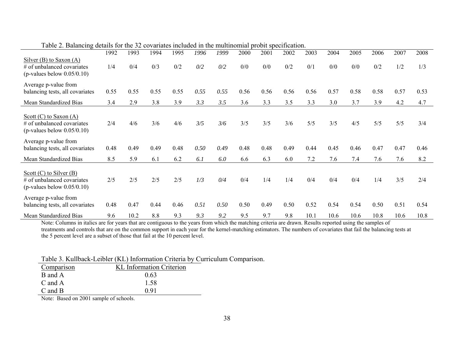|                                                                                            | 1992 | 1993 | 1994 | 1995 | 1996 | 1999 | 2000 | 2001 | 2002 | 2003 | 2004 | 2005 | 2006 | 2007 | 2008 |
|--------------------------------------------------------------------------------------------|------|------|------|------|------|------|------|------|------|------|------|------|------|------|------|
| Silver $(B)$ to Saxon $(A)$<br># of unbalanced covariates<br>(p-values below $0.05/0.10$ ) | 1/4  | 0/4  | 0/3  | 0/2  | 0/2  | 0/2  | 0/0  | 0/0  | 0/2  | 0/1  | 0/0  | 0/0  | 0/2  | 1/2  | 1/3  |
| Average p-value from<br>balancing tests, all covariates                                    | 0.55 | 0.55 | 0.55 | 0.55 | 0.55 | 0.55 | 0.56 | 0.56 | 0.56 | 0.56 | 0.57 | 0.58 | 0.58 | 0.57 | 0.53 |
| Mean Standardized Bias                                                                     | 3.4  | 2.9  | 3.8  | 3.9  | 3.3  | 3.5  | 3.6  | 3.3  | 3.5  | 3.3  | 3.0  | 3.7  | 3.9  | 4.2  | 4.7  |
| Scott $(C)$ to Saxon $(A)$<br># of unbalanced covariates<br>(p-values below $0.05/0.10$ )  | 2/4  | 4/6  | 3/6  | 4/6  | 3/5  | 3/6  | 3/5  | 3/5  | 3/6  | 5/5  | 3/5  | 4/5  | 5/5  | 5/5  | 3/4  |
| Average p-value from<br>balancing tests, all covariates                                    | 0.48 | 0.49 | 0.49 | 0.48 | 0.50 | 0.49 | 0.48 | 0.48 | 0.49 | 0.44 | 0.45 | 0.46 | 0.47 | 0.47 | 0.46 |
| Mean Standardized Bias                                                                     | 8.5  | 5.9  | 6.1  | 6.2  | 6.1  | 6.0  | 6.6  | 6.3  | 6.0  | 7.2  | 7.6  | 7.4  | 7.6  | 7.6  | 8.2  |
| Scott $(C)$ to Silver $(B)$<br># of unbalanced covariates<br>(p-values below $0.05/0.10$ ) | 2/5  | 2/5  | 2/5  | 2/5  | 1/3  | 0/4  | 0/4  | 1/4  | 1/4  | 0/4  | 0/4  | 0/4  | 1/4  | 3/5  | 2/4  |
| Average p-value from<br>balancing tests, all covariates                                    | 0.48 | 0.47 | 0.44 | 0.46 | 0.51 | 0.50 | 0.50 | 0.49 | 0.50 | 0.52 | 0.54 | 0.54 | 0.50 | 0.51 | 0.54 |
| Mean Standardized Bias                                                                     | 9.6  | 10.2 | 8.8  | 9.3  | 9.3  | 9.2  | 9.5  | 9.7  | 9.8  | 10.1 | 10.6 | 10.6 | 10.8 | 10.6 | 10.8 |

Table 2. Balancing details for the 32 covariates included in the multinomial probit specification.

Note: Columns in italics are for years that are contiguous to the years from which the matching criteria are drawn. Results reported using the samples of treatments and controls that are on the common support in each year for the kernel-matching estimators. The numbers of covariates that fail the balancing tests at the 5 percent level are a subset of those that fail at the 10 percent level.

Table 3. Kullback-Leibler (KL) Information Criteria by Curriculum Comparison.

| Comparison  | <b>KL</b> Information Criterion |
|-------------|---------------------------------|
| B and A     | 0.63                            |
| C and A     | 1.58                            |
| $C$ and $B$ | O 91                            |

Note: Based on 2001 sample of schools.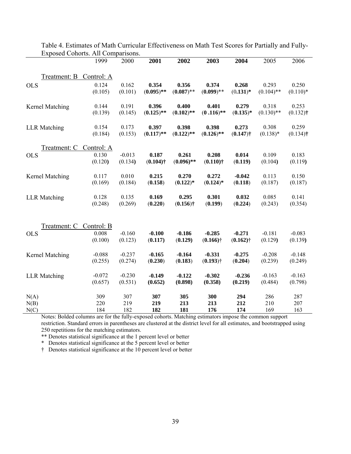|                     | 1999       | 2000     | 2001         | 2002         | 2003         | 2004        | 2005         | 2006        |
|---------------------|------------|----------|--------------|--------------|--------------|-------------|--------------|-------------|
|                     |            |          |              |              |              |             |              |             |
| Treatment: B        | Control: A |          |              |              |              |             |              |             |
| <b>OLS</b>          | 0.124      | 0.162    | 0.354        | 0.356        | 0.374        | 0.268       | 0.293        | 0.250       |
|                     | (0.105)    | (0.101)  | $(0.095)$ ** | $(0.087)$ ** | $(0.099)$ ** | $(0.131)^*$ | $(0.104)$ ** | $(0.110)*$  |
| Kernel Matching     | 0.144      | 0.191    | 0.396        | 0.400        | 0.401        | 0.279       | 0.318        | 0.253       |
|                     | (0.139)    | (0.145)  | $(0.125)$ ** | $(0.102)$ ** | $(0.116)$ ** | $(0.135)*$  | $(0.130)$ ** | $(0.132)$ † |
| <b>LLR</b> Matching | 0.154      | 0.173    | 0.397        | 0.398        | 0.398        | 0.273       | 0.308        | 0.259       |
|                     | (0.184)    | (0.153)  | $(0.117)$ ** | $(0.122)$ ** | $(0.126)$ ** | $(0.147)$ † | $(0.138)$ *  | $(0.134)$ † |
| <u>Treatment: C</u> | Control: A |          |              |              |              |             |              |             |
| <b>OLS</b>          | 0.130      | $-0.013$ | 0.187        | 0.261        | 0.208        | 0.014       | 0.109        | 0.183       |
|                     | (0.120)    | (0.134)  | $(0.104)$ †  | $(0.096)$ ** | $(0.110)$ †  | (0.119)     | (0.104)      | (0.119)     |
| Kernel Matching     | 0.117      | 0.010    | 0.215        | 0.270        | 0.272        | $-0.042$    | 0.113        | 0.150       |
|                     | (0.169)    | (0.184)  | (0.158)      | $(0.122)*$   | $(0.124)$ *  | (0.118)     | (0.187)      | (0.187)     |
| <b>LLR</b> Matching | 0.128      | 0.135    | 0.169        | 0.295        | 0.301        | 0.032       | 0.085        | 0.141       |
|                     | (0.248)    | (0.269)  | (0.220)      | $(0.156)$ †  | (0.199)      | (0.224)     | (0.243)      | (0.354)     |
|                     |            |          |              |              |              |             |              |             |
| Treatment: C        | Control: B |          |              |              |              |             |              |             |
| <b>OLS</b>          | 0.008      | $-0.160$ | $-0.100$     | $-0.186$     | $-0.285$     | $-0.271$    | $-0.181$     | $-0.083$    |
|                     | (0.100)    | (0.123)  | (0.117)      | (0.129)      | $(0.166)$ †  | $(0.162)$ † | (0.129)      | (0.139)     |
| Kernel Matching     | $-0.088$   | $-0.237$ | $-0.165$     | $-0.164$     | $-0.331$     | $-0.275$    | $-0.208$     | $-0.148$    |
|                     | (0.255)    | (0.274)  | (0.230)      | (0.183)      | $(0.193)$ †  | (0.204)     | (0.239)      | (0.249)     |
| <b>LLR</b> Matching | $-0.072$   | $-0.230$ | $-0.149$     | $-0.122$     | $-0.302$     | $-0.236$    | $-0.163$     | $-0.163$    |
|                     | (0.657)    | (0.531)  | (0.652)      | (0.898)      | (0.358)      | (0.219)     | (0.484)      | (0.798)     |
| N(A)                | 309        | 307      | 307          | 305          | 300          | 294         | 286          | 287         |
| N(B)                | 220        | 219      | 219          | 213          | 213          | 212         | 210          | 207         |
| N(C)                | 184        | 182      | 182          | 181          | 176          | 174         | 169          | 163         |

Table 4. Estimates of Math Curricular Effectiveness on Math Test Scores for Partially and Fully-Exposed Cohorts. All Comparisons.

Notes: Bolded columns are for the fully-exposed cohorts. Matching estimators impose the common support restriction. Standard errors in parentheses are clustered at the district level for all estimates, and bootstrapped using 250 repetitions for the matching estimators.

\*\* Denotes statistical significance at the 1 percent level or better

\* Denotes statistical significance at the 5 percent level or better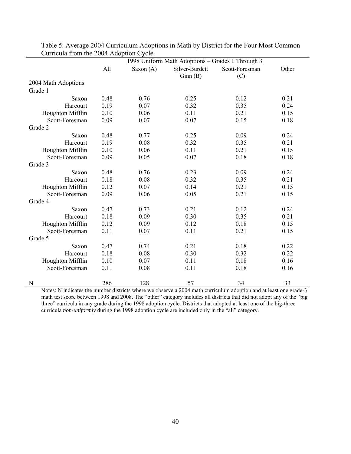|                     |      |             | 1998 Uniform Math Adoptions - Grades 1 Through 3 |                |       |
|---------------------|------|-------------|--------------------------------------------------|----------------|-------|
|                     | All  | Saxon $(A)$ | Silver-Burdett                                   | Scott-Foresman | Other |
|                     |      |             | Ginn(B)                                          | (C)            |       |
| 2004 Math Adoptions |      |             |                                                  |                |       |
| Grade 1             |      |             |                                                  |                |       |
| Saxon               | 0.48 | 0.76        | 0.25                                             | 0.12           | 0.21  |
| Harcourt            | 0.19 | 0.07        | 0.32                                             | 0.35           | 0.24  |
| Houghton Mifflin    | 0.10 | 0.06        | 0.11                                             | 0.21           | 0.15  |
| Scott-Foresman      | 0.09 | 0.07        | 0.07                                             | 0.15           | 0.18  |
| Grade 2             |      |             |                                                  |                |       |
| Saxon               | 0.48 | 0.77        | 0.25                                             | 0.09           | 0.24  |
| Harcourt            | 0.19 | 0.08        | 0.32                                             | 0.35           | 0.21  |
| Houghton Mifflin    | 0.10 | 0.06        | 0.11                                             | 0.21           | 0.15  |
| Scott-Foresman      | 0.09 | 0.05        | 0.07                                             | 0.18           | 0.18  |
| Grade 3             |      |             |                                                  |                |       |
| Saxon               | 0.48 | 0.76        | 0.23                                             | 0.09           | 0.24  |
| Harcourt            | 0.18 | 0.08        | 0.32                                             | 0.35           | 0.21  |
| Houghton Mifflin    | 0.12 | 0.07        | 0.14                                             | 0.21           | 0.15  |
| Scott-Foresman      | 0.09 | 0.06        | 0.05                                             | 0.21           | 0.15  |
| Grade 4             |      |             |                                                  |                |       |
| Saxon               | 0.47 | 0.73        | 0.21                                             | 0.12           | 0.24  |
| Harcourt            | 0.18 | 0.09        | 0.30                                             | 0.35           | 0.21  |
| Houghton Mifflin    | 0.12 | 0.09        | 0.12                                             | 0.18           | 0.15  |
| Scott-Foresman      | 0.11 | 0.07        | 0.11                                             | 0.21           | 0.15  |
| Grade 5             |      |             |                                                  |                |       |
| Saxon               | 0.47 | 0.74        | 0.21                                             | 0.18           | 0.22  |
| Harcourt            | 0.18 | 0.08        | 0.30                                             | 0.32           | 0.22  |
| Houghton Mifflin    | 0.10 | 0.07        | 0.11                                             | 0.18           | 0.16  |
| Scott-Foresman      | 0.11 | 0.08        | 0.11                                             | 0.18           | 0.16  |
|                     |      |             |                                                  |                |       |
| N                   | 286  | 128         | 57                                               | 34             | 33    |

Table 5. Average 2004 Curriculum Adoptions in Math by District for the Four Most Common Curricula from the 2004 Adoption Cycle.

Notes: N indicates the number districts where we observe a 2004 math curriculum adoption and at least one grade-3 math test score between 1998 and 2008. The "other" category includes all districts that did not adopt any of the "big three" curricula in any grade during the 1998 adoption cycle. Districts that adopted at least one of the big-three curricula *non-uniformly* during the 1998 adoption cycle are included only in the "all" category.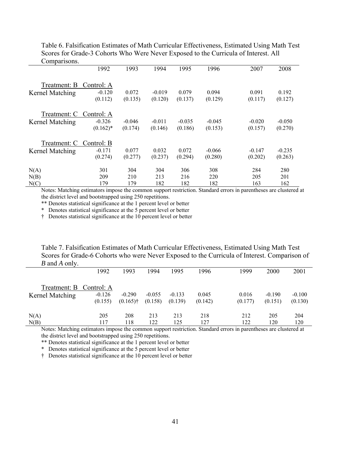Table 6. Falsification Estimates of Math Curricular Effectiveness, Estimated Using Math Test Scores for Grade-3 Cohorts Who Were Never Exposed to the Curricula of Interest. All Comparisons. L.

|                                 | 1992                                 | 1993                | 1994                | 1995                | 1996                | 2007                | 2008                |
|---------------------------------|--------------------------------------|---------------------|---------------------|---------------------|---------------------|---------------------|---------------------|
| Treatment: B<br>Kernel Matching | Control: A<br>$-0.120$<br>(0.112)    | 0.072<br>(0.135)    | $-0.019$<br>(0.120) | 0.079<br>(0.137)    | 0.094<br>(0.129)    | 0.091<br>(0.117)    | 0.192<br>(0.127)    |
| Treatment: C<br>Kernel Matching | Control: A<br>$-0.326$<br>$(0.162)*$ | $-0.046$<br>(0.174) | $-0.011$<br>(0.146) | $-0.035$<br>(0.186) | $-0.045$<br>(0.153) | $-0.020$<br>(0.157) | $-0.050$<br>(0.270) |
| Treatment: C<br>Kernel Matching | Control: B<br>$-0.171$<br>(0.274)    | 0.077<br>(0.277)    | 0.032<br>(0.237)    | 0.072<br>(0.294)    | $-0.066$<br>(0.280) | $-0.147$<br>(0.202) | $-0.235$<br>(0.263) |
| N(A)<br>N(B)<br>N(C)            | 301<br>209<br>179                    | 304<br>210<br>179   | 304<br>213<br>182   | 306<br>216<br>182   | 308<br>220<br>182   | 284<br>205<br>163   | 280<br>201<br>162   |

Notes: Matching estimators impose the common support restriction. Standard errors in parentheses are clustered at the district level and bootstrapped using 250 repetitions.

\*\* Denotes statistical significance at the 1 percent level or better

\* Denotes statistical significance at the 5 percent level or better

† Denotes statistical significance at the 10 percent level or better

Table 7. Falsification Estimates of Math Curricular Effectiveness, Estimated Using Math Test Scores for Grade-6 Cohorts who were Never Exposed to the Curricula of Interest. Comparison of *B* and *A* only.

|                         | 1992     | 1993        | 1994     | 1995     | 1996    | 1999    | 2000     | 2001     |
|-------------------------|----------|-------------|----------|----------|---------|---------|----------|----------|
| Treatment: B Control: A | $-0.126$ | $-0.290$    | $-0.055$ | $-0.133$ | 0.045   | 0.016   | $-0.190$ | $-0.100$ |
| Kernel Matching         | (0.155)  | $(0.165)$ † | (0.158)  | (0.139)  | (0.142) | (0.177) | (0.151)  | (0.130)  |
| N(A)                    | 205      | 208         | 213      | 213      | 218     | 212     | 205      | 204      |
| N(B)                    | 117      | 118         | 122      | 125      | 127     | 122     | 120      | 120      |

Notes: Matching estimators impose the common support restriction. Standard errors in parentheses are clustered at the district level and bootstrapped using 250 repetitions.

\*\* Denotes statistical significance at the 1 percent level or better

\* Denotes statistical significance at the 5 percent level or better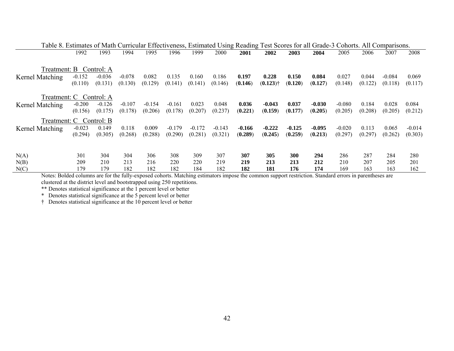|                 | Table 8. Estimates of Math Curricular Effectiveness, Estimated Using Reading Test Scores for all Grade-3 Cohorts. All Comparisons. |          |          |          |          |          |          |         |                        |          |          |          |         |          |          |
|-----------------|------------------------------------------------------------------------------------------------------------------------------------|----------|----------|----------|----------|----------|----------|---------|------------------------|----------|----------|----------|---------|----------|----------|
|                 | 1992                                                                                                                               | 1993     | 1994     | 1995     | 1996     | 1999     | 2000     | 2001    | 2002                   | 2003     | 2004     | 2005     | 2006    | 2007     | 2008     |
|                 |                                                                                                                                    |          |          |          |          |          |          |         |                        |          |          |          |         |          |          |
|                 | Treatment: B Control: A                                                                                                            |          |          |          |          |          |          |         |                        |          |          |          |         |          |          |
| Kernel Matching | $-0.152$                                                                                                                           | $-0.036$ | $-0.078$ | 0.082    | 0.135    | 0.160    | 0.186    | 0.197   | 0.228                  | 0.150    | 0.084    | 0.027    | 0.044   | $-0.084$ | 0.069    |
|                 | (0.110)                                                                                                                            | (0.131)  | (0.130)  | (0.129)  | (0.141)  | (0.141)  | (0.146)  | (0.146) | $(0.123)$ <sup>†</sup> | (0.120)  | (0.127)  | (0.148)  | (0.122) | (0.118)  | (0.117)  |
|                 |                                                                                                                                    |          |          |          |          |          |          |         |                        |          |          |          |         |          |          |
|                 | Treatment: C Control: A                                                                                                            |          |          |          |          |          |          |         |                        |          |          |          |         |          |          |
| Kernel Matching | $-0.200$                                                                                                                           | $-0.126$ | $-0.107$ | $-0.154$ | $-0.161$ | 0.023    | 0.048    | 0.036   | $-0.043$               | 0.037    | $-0.030$ | $-0.080$ | 0.184   | 0.028    | 0.084    |
|                 | (0.156)                                                                                                                            | (0.175)  | (0.178)  | (0.206)  | (0.178)  | (0.207)  | (0.237)  | (0.221) | (0.159)                | (0.177)  | (0.205)  | (0.205)  | (0.208) | (0.205)  | (0.212)  |
|                 | Treatment: C Control: B                                                                                                            |          |          |          |          |          |          |         |                        |          |          |          |         |          |          |
| Kernel Matching | $-0.023$                                                                                                                           | 0.149    | 0.118    | 0.009    | $-0.179$ | $-0.172$ | $-0.143$ | -0.166  | $-0.222$               | $-0.125$ | $-0.095$ | $-0.020$ | 0.113   | 0.065    | $-0.014$ |
|                 | (0.294)                                                                                                                            | (0.305)  | (0.268)  | (0.288)  | (0.290)  | (0.281)  | (0.321)  | (0.289) | (0.245)                | (0.259)  | (0.213)  | (0.297)  | (0.297) | (0.262)  | (0.303)  |
|                 |                                                                                                                                    |          |          |          |          |          |          |         |                        |          |          |          |         |          |          |
|                 |                                                                                                                                    |          |          |          |          |          |          |         |                        |          |          |          |         |          |          |
| N(A)            | 301                                                                                                                                | 304      | 304      | 306      | 308      | 309      | 307      | 307     | 305                    | 300      | 294      | 286      | 287     | 284      | 280      |
| N(B)            | 209                                                                                                                                | 210      | 213      | 216      | 220      | 220      | 219      | 219     | 213                    | 213      | 212      | 210      | 207     | 205      | 201      |
| N(C)            | 179                                                                                                                                | 179      | 182      | 182      | 182      | 184      | 182      | 182     | 181                    | 176      | 174      | 169      | 163     | 163      | 162      |

Notes: Bolded columns are for the fully-exposed cohorts. Matching estimators impose the common support restriction. Standard errors in parentheses are clustered at the district level and bootstrapped using 250 repetitions.

\*\* Denotes statistical significance at the 1 percent level or better

\* Denotes statistical significance at the 5 percent level or better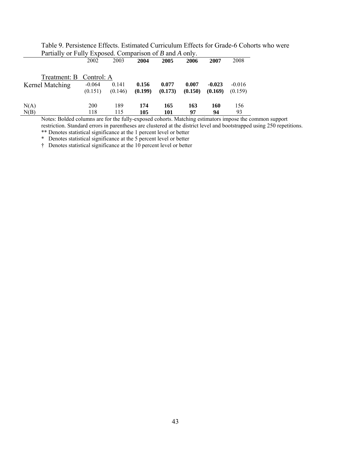|                         | 2002       | 2003    | 2004    | 2005    | 2006    | 2007     | 2008     |
|-------------------------|------------|---------|---------|---------|---------|----------|----------|
| Treatment: B Control: A |            |         |         |         |         |          |          |
| Kernel Matching         | $-0.064$   | 0.141   | 0.156   | 0.077   | 0.007   | $-0.023$ | $-0.016$ |
|                         | (0.151)    | (0.146) | (0.199) | (0.173) | (0.150) | (0.169)  | (0.159)  |
| N(A)                    | <b>200</b> | 189     | 174     | 165     | 163     | 160      | 156      |
| N(B)                    | 118        | 115     | 105     | 101     | 97      | 94       | 93       |

Table 9. Persistence Effects. Estimated Curriculum Effects for Grade-6 Cohorts who were Partially or Fully Exposed. Comparison of *B* and *A* only.

Notes: Bolded columns are for the fully-exposed cohorts. Matching estimators impose the common support restriction. Standard errors in parentheses are clustered at the district level and bootstrapped using 250 repetitions.

\*\* Denotes statistical significance at the 1 percent level or better

\* Denotes statistical significance at the 5 percent level or better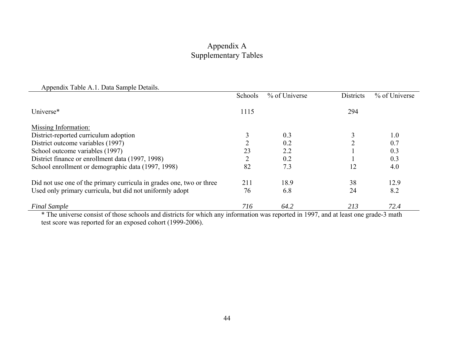### Appendix A Supplementary Tables

| Appendix Table A.1. Data Sample Details.                                                                                                                                           |                       |                            |                                                       |                |
|------------------------------------------------------------------------------------------------------------------------------------------------------------------------------------|-----------------------|----------------------------|-------------------------------------------------------|----------------|
|                                                                                                                                                                                    | Schools               | % of Universe              | <b>Districts</b>                                      | % of Universe  |
| Universe*                                                                                                                                                                          | 1115                  |                            | 294                                                   |                |
| Missing Information:                                                                                                                                                               |                       |                            |                                                       |                |
| District-reported curriculum adoption                                                                                                                                              |                       | 0.3                        |                                                       | 1.0            |
| District outcome variables (1997)                                                                                                                                                  |                       | 0.2                        | ∍                                                     | 0.7            |
| School outcome variables (1997)                                                                                                                                                    | 23                    | 2.2                        |                                                       | 0.3            |
| District finance or enrollment data (1997, 1998)                                                                                                                                   |                       | 0.2                        |                                                       | 0.3            |
| School enrollment or demographic data (1997, 1998)                                                                                                                                 | 82                    | 7.3                        | 12                                                    | 4.0            |
| Did not use one of the primary curricula in grades one, two or three                                                                                                               | 211                   | 18.9                       | 38                                                    | 12.9           |
| Used only primary curricula, but did not uniformly adopt                                                                                                                           | 76                    | 6.8                        | 24                                                    | 8.2            |
| <b>Final Sample</b><br>$\mathbf{a}$ and $\mathbf{a}$ are $\mathbf{a}$ and $\mathbf{a}$ and $\mathbf{a}$<br>$\mathbf{r}$ $\mathbf{r}$ $\mathbf{r}$<br>$\mathbf{a}$ and $\mathbf{a}$ | 716<br>$\cdot$ $\sim$ | 64.2<br>$1.1 \times 100 =$ | 213<br>$\mathbf{1}$ and $\mathbf{1}$ and $\mathbf{1}$ | 72.4<br>$\sim$ |

\* The universe consist of those schools and districts for which any information was reported in 1997, and at least one grade-3 math test score was reported for an exposed cohort (1999-2006).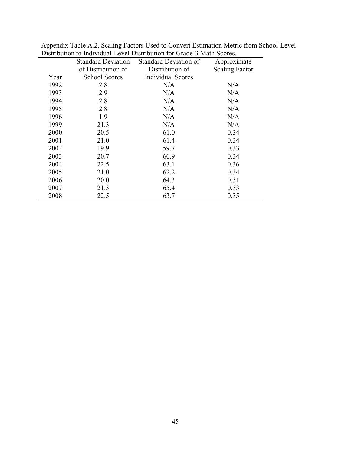|                           | Distribution to multitudae Ecter Distribution for Grade 9 main Scores. |                       |
|---------------------------|------------------------------------------------------------------------|-----------------------|
| <b>Standard Deviation</b> | <b>Standard Deviation of</b>                                           | Approximate           |
| of Distribution of        | Distribution of                                                        | <b>Scaling Factor</b> |
| <b>School Scores</b>      | <b>Individual Scores</b>                                               |                       |
| 2.8                       | N/A                                                                    | N/A                   |
| 2.9                       | N/A                                                                    | N/A                   |
| 2.8                       | N/A                                                                    | N/A                   |
| 2.8                       | N/A                                                                    | N/A                   |
| 1.9                       | N/A                                                                    | N/A                   |
| 21.3                      | N/A                                                                    | N/A                   |
| 20.5                      | 61.0                                                                   | 0.34                  |
| 21.0                      | 61.4                                                                   | 0.34                  |
| 19.9                      | 59.7                                                                   | 0.33                  |
| 20.7                      | 60.9                                                                   | 0.34                  |
| 22.5                      | 63.1                                                                   | 0.36                  |
| 21.0                      | 62.2                                                                   | 0.34                  |
| 20.0                      | 64.3                                                                   | 0.31                  |
| 21.3                      | 65.4                                                                   | 0.33                  |
| 22.5                      | 63.7                                                                   | 0.35                  |
|                           |                                                                        |                       |

Appendix Table A.2. Scaling Factors Used to Convert Estimation Metric from School-Level Distribution to Individual-Level Distribution for Grade-3 Math Scores.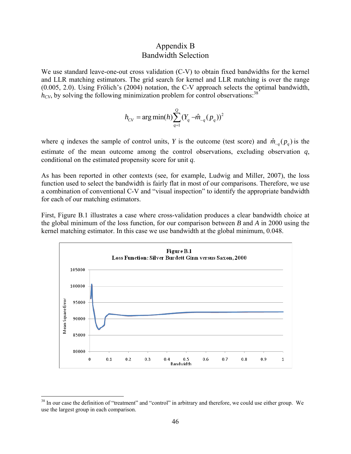### Appendix B Bandwidth Selection

We use standard leave-one-out cross validation (C-V) to obtain fixed bandwidths for the kernel and LLR matching estimators. The grid search for kernel and LLR matching is over the range (0.005, 2.0). Using Frölich's (2004) notation, the C-V approach selects the optimal bandwidth,  $h_{CV}$ , by solving the following minimization problem for control observations.<sup>38</sup>

$$
h_{CV} = \arg\min(h) \sum_{q=1}^{Q} (Y_q - \hat{m}_{-q}(p_q))^2
$$

where *q* indexes the sample of control units, *Y* is the outcome (test score) and  $\hat{m}_{-a}(p_a)$  is the estimate of the mean outcome among the control observations, excluding observation *q*, conditional on the estimated propensity score for unit *q*.

As has been reported in other contexts (see, for example, Ludwig and Miller, 2007), the loss function used to select the bandwidth is fairly flat in most of our comparisons. Therefore, we use a combination of conventional C-V and "visual inspection" to identify the appropriate bandwidth for each of our matching estimators.

First, Figure B.1 illustrates a case where cross-validation produces a clear bandwidth choice at the global minimum of the loss function, for our comparison between *B* and *A* in 2000 using the kernel matching estimator. In this case we use bandwidth at the global minimum, 0.048.



 $\overline{a}$ 

<sup>&</sup>lt;sup>38</sup> In our case the definition of "treatment" and "control" in arbitrary and therefore, we could use either group. We use the largest group in each comparison.